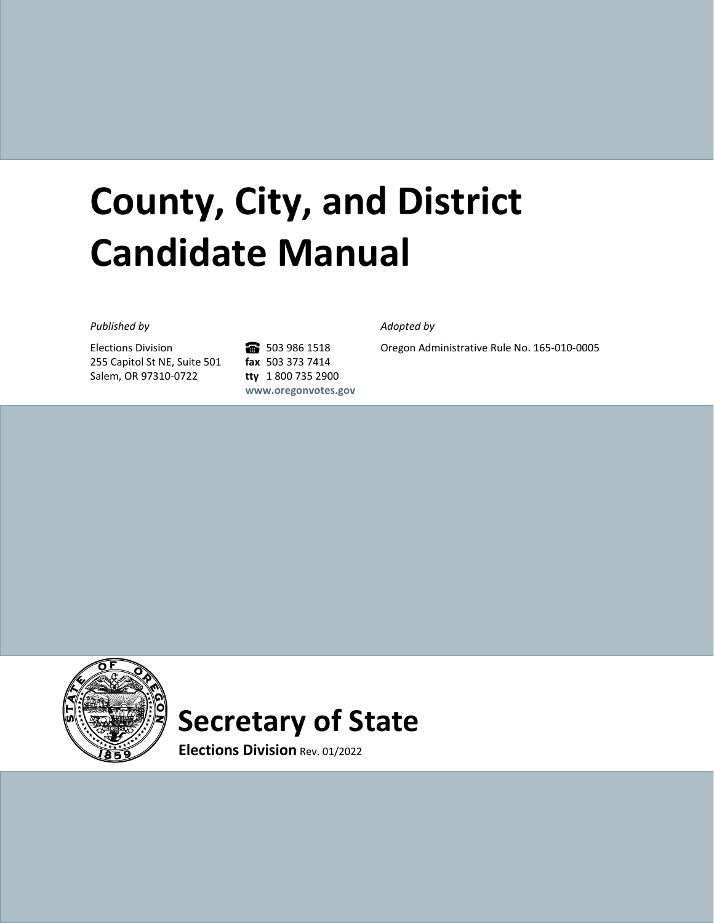# **County, City, and District Candidate Manual**

#### *Published by Adopted by*

Elections Division 255 Capitol St NE, Suite 501 Salem, OR 97310-0722

6 503 986 1518 **fax** 503 373 7414 **tty** 1 800 735 2900 **[www.oregonvotes.gov](http://www.oregonvotes.gov/)**

Oregon Administrative Rule No. 165-010-0005



## **Secretary of State**

**Elections Division** Rev. 01/2022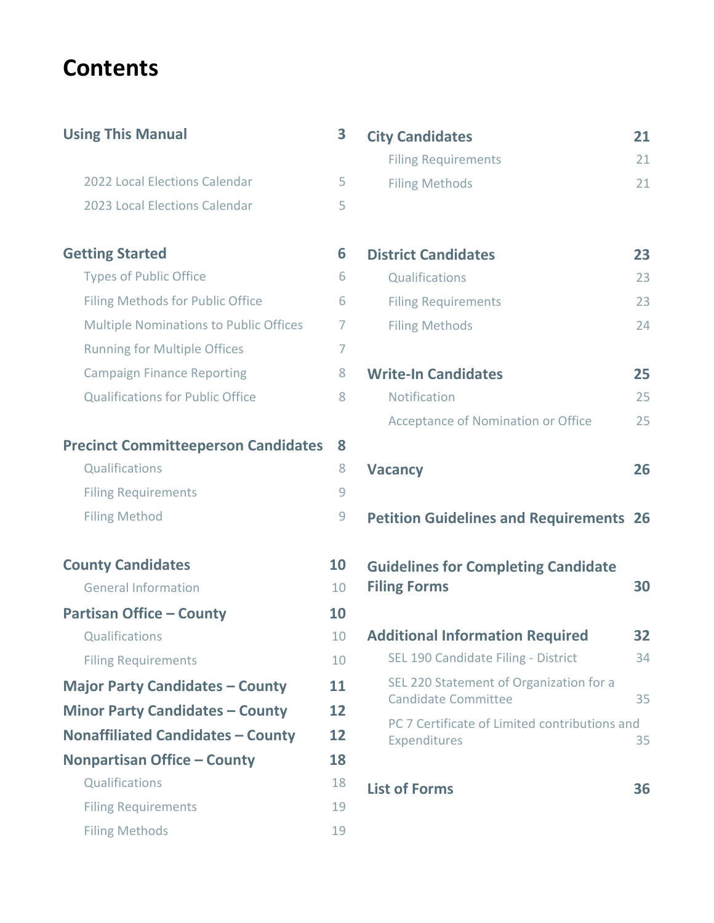## **Contents**

| <b>Using This Manual</b>                      | 3  |
|-----------------------------------------------|----|
| 2022 Local Elections Calendar                 | 5  |
| 2023 Local Elections Calendar                 | 5  |
| <b>Getting Started</b>                        | 6  |
| <b>Types of Public Office</b>                 | 6  |
| <b>Filing Methods for Public Office</b>       | 6  |
| <b>Multiple Nominations to Public Offices</b> | 7  |
| <b>Running for Multiple Offices</b>           | 7  |
| <b>Campaign Finance Reporting</b>             | 8  |
| <b>Qualifications for Public Office</b>       | 8  |
| <b>Precinct Committeeperson Candidates</b>    | 8  |
| Qualifications                                | 8  |
| <b>Filing Requirements</b>                    | 9  |
| <b>Filing Method</b>                          | 9  |
| <b>County Candidates</b>                      | 10 |
| <b>General Information</b>                    | 10 |
| <b>Partisan Office - County</b>               | 10 |
| Qualifications                                | 10 |
| <b>Filing Requirements</b>                    | 10 |
| <b>Major Party Candidates - County</b>        | 11 |
| <b>Minor Party Candidates - County</b>        | 12 |
| <b>Nonaffiliated Candidates - County</b>      | 12 |
| <b>Nonpartisan Office - County</b>            | 18 |
| Qualifications                                | 18 |
| <b>Filing Requirements</b>                    | 19 |
| <b>Filing Methods</b>                         | 19 |

| <b>City Candidates</b>     | 21  |
|----------------------------|-----|
| <b>Filing Requirements</b> | 21  |
| <b>Filing Methods</b>      | 21. |
|                            |     |
|                            |     |
| <b>District Candidates</b> | フマ  |

| Qualifications             | 23 |
|----------------------------|----|
| <b>Filing Requirements</b> | 23 |
| <b>Filing Methods</b>      | 24 |

| <b>Write-In Candidates</b>         | 25  |
|------------------------------------|-----|
| <b>Notification</b>                | 25. |
| Acceptance of Nomination or Office | 25. |

```
Vacancy 26
```
**[Petition Guidelines and Requirements](#page-25-1) 26**

| <b>Guidelines for Completing Candidate</b> |    |
|--------------------------------------------|----|
| <b>Filing Forms</b>                        | 30 |

| <b>Additional Information Required</b>                                | 32 |
|-----------------------------------------------------------------------|----|
| SEL 190 Candidate Filing - District                                   | 34 |
| SEL 220 Statement of Organization for a<br><b>Candidate Committee</b> | 35 |
| PC 7 Certificate of Limited contributions and<br>Expenditures         |    |

```
List of Forms 36
```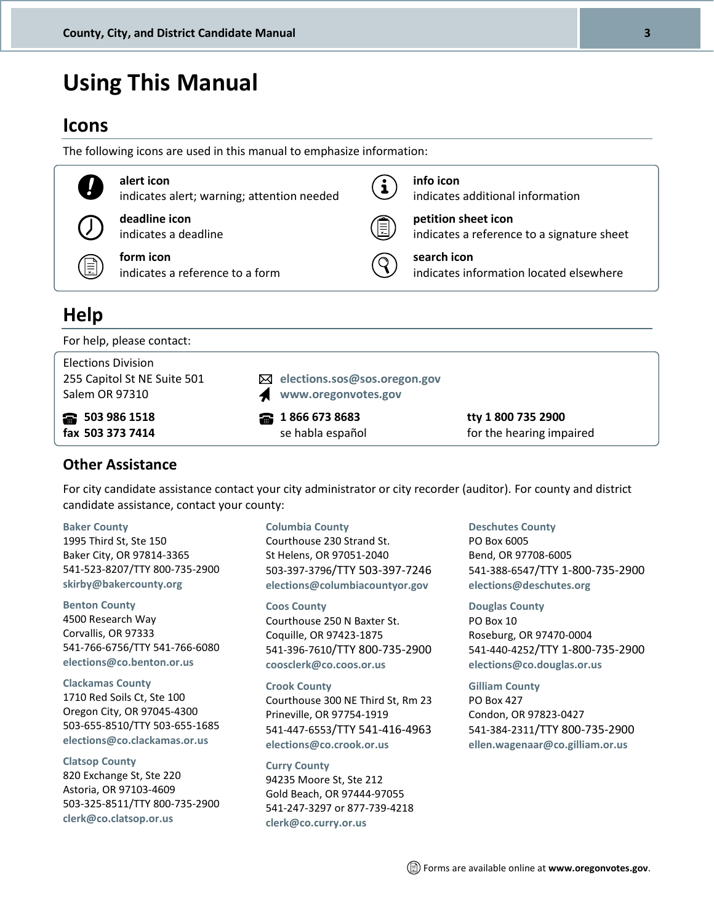## <span id="page-2-0"></span>**Using This Manual**

### **Icons**

The following icons are used in this manual to emphasize information:

| $\mathbf{I}$ | alert icon<br>indicates alert; warning; attention needed | i | info icon<br>indicates additional information                     |
|--------------|----------------------------------------------------------|---|-------------------------------------------------------------------|
|              | deadline icon<br>indicates a deadline                    | 圓 | petition sheet icon<br>indicates a reference to a signature sheet |
| ∄ا           | form icon<br>indicates a reference to a form             |   | search icon<br>indicates information located elsewhere            |
| <b>Help</b>  |                                                          |   |                                                                   |

For help, please contact:

| <b>Elections Division</b><br>255 Capitol St NE Suite 501<br>Salem OR 97310 | $\boxtimes$ elections.sos@sos.oregon.gov<br>www.oregonvotes.gov |                          |
|----------------------------------------------------------------------------|-----------------------------------------------------------------|--------------------------|
| <b>e</b> 503 986 1518                                                      | <b>a</b> 1866 673 8683                                          | tty 1 800 735 2900       |
| fax 503 373 7414                                                           | se habla español                                                | for the hearing impaired |

#### **Other Assistance**

For city candidate assistance contact your city administrator or city recorder (auditor). For county and district candidate assistance, contact your county:

#### **Baker [County](http://www.bakercounty.org/clerks/elections.html)**

1995 Third St, Ste 150 Baker City, OR 97814-3365 541-523-8207/TTY 800-735-2900 **[skirby@bakercounty.org](mailto:skirby@bakercounty.org)**

#### **[Benton](https://www.co.benton.or.us/elections) County**

4500 Research Way Corvallis, OR 97333 541-766-6756/TTY 541-766-6080 **[elections@co.benton.or.us](mailto:elections@co.benton.or.us)**

#### **[Clackamas](http://www.clackamas.us/elections/) County**

1710 Red Soils Ct, Ste 100 Oregon City, OR 97045-4300 503-655-8510/TTY 503-655-1685 **[elections@co.clackamas.or.us](mailto:elections@co.clackamas.or.us)**

#### **[Clatsop](http://www.co.clatsop.or.us/clerk) County**

820 Exchange St, Ste 220 Astoria, OR 97103-4609 503-325-8511/TTY 800-735-2900 **[clerk@co.clatsop.or.us](mailto:clerk@co.clatsop.or.us)**

#### **[Columbia](http://www.co.columbia.or.us/departments/elections-department/elections-home) County**

Courthouse 230 Strand St. St Helens, OR 97051-2040 503-397-3796/TTY 503-397-7246 **[elections@columbiacountyor.gov](mailto:elections@columbiacountyor.gov)**

**Coos [County](http://www.co.coos.or.us/Departments/CountyClerk/Elections.aspx)** Courthouse 250 N Baxter St. Coquille, OR 97423-1875 541-396-7610/TTY 800-735-2900 **[coosclerk@co.coos.or.us](mailto:coosclerk@co.coos.or.us)**

#### **Crook [County](http://co.crook.or.us/Departments/Clerk/ElectionInformation/ElectionInformation/tabid/2275/Default.aspx)**

Courthouse 300 NE Third St, Rm 23 Prineville, OR 97754-1919 541-447-6553/TTY 541-416-4963 **[elections@co.crook.or.us](mailto:cc_clerk@co.crook.or.us)**

#### **Curry [County](http://www.co.curry.or.us/Departments/Elections)**

94235 Moore St, Ste 212 Gold Beach, OR 97444-97055 541-247-3297 or 877-739-4218 **[clerk@co.curry.or.us](mailto:clerk@co.curry.or.us)**

#### **[Deschutes](http://www.deschutes.org/clerk/page/elections-and-voting) County**

PO Box 6005 Bend, OR 97708-6005 541-388-6547/TTY 1-800-735-2900 **[elections@deschutes.org](mailto:elections@deschutes.org)**

#### **[Douglas](http://www.co.douglas.or.us/clerk/elections.asp) County**

PO Box 10 Roseburg, OR 97470-0004 541-440-4252/TTY 1-800-735-2900 **[elections@co.douglas.or.us](mailto:elections@co.douglas.or.us)**

#### **Gilliam [County](http://www.co.gilliam.or.us/)**

PO Box 427 Condon, OR 97823-0427 541-384-2311/TTY 800-735-2900 **[ellen.wagenaar@co.gilliam.or.us](mailto:ellen.wagenaar@co.gilliam.or.us)**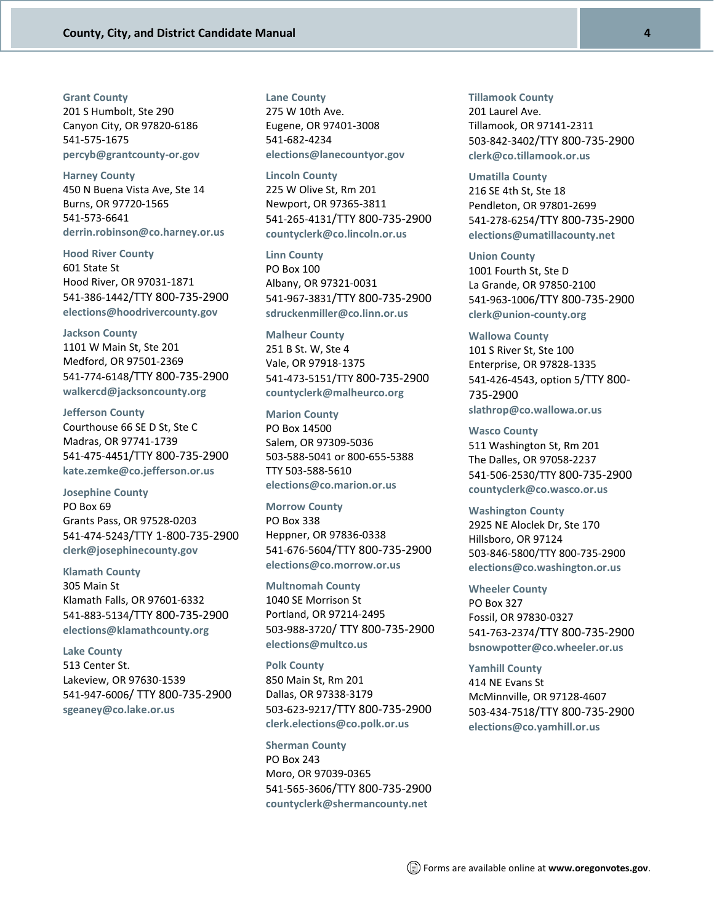#### **[Grant County](http://www.gcoregonlive2.com/svc_display.php?id=526)**

201 S Humbolt, Ste 290 Canyon City, OR 97820-6186 541-575-1675 **[percyb@grantcounty-or.gov](mailto:percyb@grantcounty-or.gov)**

#### **[Harney County](http://www.co.harney.or.us/elections.html)** 450 N Buena Vista Ave, Ste 14 Burns, OR 97720-1565 541-573-6641 **[derrin.robinson@co.harney.or.us](mailto:derrin.robinson@co.harney.or.us)**

**[Hood River County](http://www.co.hood-river.or.us/index.asp?Type=B_BASIC&SEC=%7b15637FD7-5185-426A-8FCF-6EA6F4BF169C%7d)** 601 State St Hood River, OR 97031-1871 541-386-1442/TTY 800-735-2900 **elections@[hoodrivercounty.gov](mailto:elections@co.hood-river.or.us)**

#### **[Jackson County](http://jacksoncountyor.org/clerk/Elections/Elections-Office)**

1101 W Main St, Ste 201 Medford, OR 97501-2369 541-774-6148/TTY 800-735-2900 **[walkercd@jacksoncounty.org](mailto:elections@jacksoncounty.org)**

**[Jefferson County](http://www.co.jefferson.or.us/CountyClerk/Elections/tabid/1421/language/en-US/Default.aspx)** Courthouse 66 SE D St, Ste C Madras, OR 97741-1739 541-475-4451/TTY 800-735-2900 **[kate.zemke@co.jefferson.or.us](mailto:kate.zemke@co.jefferson.or.us)**

**[Josephine County](http://www.co.josephine.or.us/Page.asp?NavID=747)** PO Box 69 Grants Pass, OR 97528-0203 541-474-5243/TTY 1-800-735-2900 **[clerk@josephinecounty.](mailto:clerk@co.josephine.or.us)gov**

#### **[Klamath County](http://www.klamathcounty.org/depts/clerk/elections.asp)**

305 Main St Klamath Falls, OR 97601-6332 541-883-5134/TTY 800-735-2900 **[elections@klamathcounty.org](mailto:klamathcountyelections@klamathcounty.org)**

#### **[Lake County](http://www.lakecountyor.org/government/county_clerk.php)**

513 Center St. Lakeview, OR 97630-1539 541-947-6006/ TTY 800-735-2900 **[sgeaney@co.lake.or.us](mailto:clerk@co.lake.or.us)**

#### **Lane [County](http://www.lanecounty.org/Departments/CAO/Operations/CountyClerk/elections/Pages/default.aspx)**

275 W 10th Ave. Eugene, OR 97401-3008 541-682-4234 **[elections@lanecountyor.gov](mailto:elections@lanecountyor.gov)**

**Lincoln [County](http://www.co.lincoln.or.us/clerk/election-history)** 225 W Olive St, Rm 201 Newport, OR 97365-3811 541-265-4131/TTY 800-735-2900 **[countyclerk@co.lincoln.or.us](mailto:countyclerk@co.lincoln.or.us)**

**Linn [County](http://www.co.linn.or.us/elections/)** PO Box 100 Albany, OR 97321-0031 541-967-3831/TTY 800-735-2900 **[sdruckenmiller@co.linn.or.us](mailto:sdruckenmiller@co.linn.or.us)**

#### **[Malheur](http://www.malheurco.org/countyclerk-elections) County**

251 B St. W, Ste 4 Vale, OR 97918-1375 541-473-5151/TTY 800-735-2900 **[countyclerk@malheurco.org](mailto:countyclerk@malheur.co.org)**

#### **[Marion](http://www.co.marion.or.us/co/elections) County**

PO Box 14500 Salem, OR 97309-5036 503-588-5041 or 800-655-5388 TTY 503-588-5610 **[elections@co.marion.or.us](mailto:elections@co.marion.or.us)**

#### **[Morrow](http://morrowcountyoregon.com/county-clerk/) County**

PO Box 338 Heppner, OR 97836-0338 541-676-5604/TTY 800-735-2900 **[elections@co.morrow.or.us](mailto:elections@co.morrow.or.us)**

**[Multnomah](https://multco.us/elections) County**

1040 SE Morrison St Portland, OR 97214-2495 503-988-3720/ TTY 800-735-2900 **[elections@multco.us](mailto:elections@multco.us)**

#### **Polk [County](http://www.co.polk.or.us/clerk/elections/general-information-about-election-department)**

850 Main St, Rm 201 Dallas, OR 97338-3179 503-623-9217/TTY 800-735-2900 **[clerk.elections@co.polk.or.us](mailto:clerk.elections@co.polk.or.us)**

#### **[Sherman](http://co.sherman.or.us/) County**

PO Box 243 Moro, OR 97039-0365 541-565-3606/TTY 800-735-2900 **[countyclerk@shermancounty.net](mailto:countyclerk@shermancounty.net)**

#### **[Tillamook](http://www.co.tillamook.or.us/gov/Clerk/default.htm) County** 201 Laurel Ave. Tillamook, OR 97141-2311 503-842-3402/TTY 800-735-2900 **[clerk@co.tillamook.or.us](mailto:clerk@co.tillamook.or.us)**

**[Umatilla](http://www.co.umatilla.or.us/elections/index.html) County** 216 SE 4th St, Ste 18 Pendleton, OR 97801-2699 541-278-6254/TTY 800-735-2900 **[elections@umatillacounty.net](mailto:elections@umatillacounty.net)**

#### **Union [County](http://union-county.org/county-clerk/elections/)**

1001 Fourth St, Ste D La Grande, OR 97850-2100 541-963-1006/TTY 800-735-2900 **[clerk@union-county.org](mailto:clerk@union-county.org)**

**[Wallowa](http://www.co.wallowa.or.us/administration/clerk/elections.html) County** 101 S River St, Ste 100 Enterprise, OR 97828-1335 541-426-4543, option 5/TTY 800- 735-2900 **[slathrop@co.wallowa.or.us](mailto:wcclerk@co.wallowa.or.us)**

**Wasco [County](http://www.co.wasco.or.us/county/dept_clerk_elections.cfm)** 511 Washington St, Rm 201 The Dalles, OR 97058-2237 541-506-2530/TTY 800-735-2900 **[countyclerk@co.wasco.or.us](mailto:countyclerk@co.wasco.or.us)**

#### **[Washington](http://www.co.washington.or.us/elections/) County** 2925 NE Aloclek Dr, Ste 170 Hillsboro, OR 97124 503-846-5800/TTY 800-735-2900 **[elections@co.washington.or.us](mailto:elections@co.washington.or.us)**

**[Wheeler](http://www.wheelercountyoregon.com/#%21county-clerk/cfqt) County** PO Box 327 Fossil, OR 97830-0327 541-763-2374/TTY 800-735-2900 **[bsnowpotter@co.wheeler.or.us](mailto:bsitton@co.wheeler.or.us)**

#### **[Yamhill](http://www.co.yamhill.or.us/clerk) County**

414 NE Evans St McMinnville, OR 97128-4607 503-434-7518/TTY 800-735-2900 **[elections@co.yamhill.or.us](mailto:elections@co.yamhill.or.us)**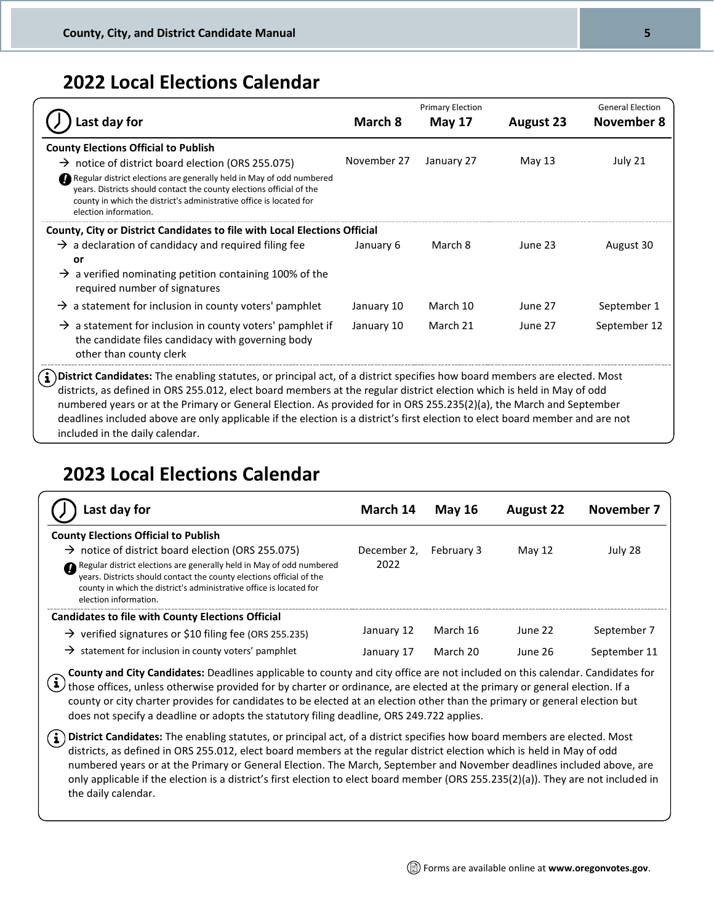### <span id="page-4-0"></span>**2022 Local Elections Calendar**

|                                                                                                                                                                                                                                                                                                                                                                                                                                                                                                                                                |             | <b>Primary Election</b> |                  | <b>General Election</b> |
|------------------------------------------------------------------------------------------------------------------------------------------------------------------------------------------------------------------------------------------------------------------------------------------------------------------------------------------------------------------------------------------------------------------------------------------------------------------------------------------------------------------------------------------------|-------------|-------------------------|------------------|-------------------------|
| ast day for.                                                                                                                                                                                                                                                                                                                                                                                                                                                                                                                                   | March 8     | <b>May 17</b>           | <b>August 23</b> | <b>November 8</b>       |
| <b>County Elections Official to Publish</b>                                                                                                                                                                                                                                                                                                                                                                                                                                                                                                    |             |                         |                  |                         |
| $\rightarrow$ notice of district board election (ORS 255.075)                                                                                                                                                                                                                                                                                                                                                                                                                                                                                  | November 27 | January 27              | May 13           | July 21                 |
| Regular district elections are generally held in May of odd numbered<br>years. Districts should contact the county elections official of the<br>county in which the district's administrative office is located for<br>election information.                                                                                                                                                                                                                                                                                                   |             |                         |                  |                         |
| County, City or District Candidates to file with Local Elections Official                                                                                                                                                                                                                                                                                                                                                                                                                                                                      |             |                         |                  |                         |
| $\rightarrow$ a declaration of candidacy and required filing fee<br>or<br>$\rightarrow$ a verified nominating petition containing 100% of the<br>required number of signatures                                                                                                                                                                                                                                                                                                                                                                 | January 6   | March 8                 | June 23          | August 30               |
| $\rightarrow$ a statement for inclusion in county voters' pamphlet                                                                                                                                                                                                                                                                                                                                                                                                                                                                             | January 10  | March 10                | June 27          | September 1             |
| $\rightarrow$ a statement for inclusion in county voters' pamphlet if<br>the candidate files candidacy with governing body<br>other than county clerk                                                                                                                                                                                                                                                                                                                                                                                          | January 10  | March 21                | June 27          | September 12            |
| District Candidates: The enabling statutes, or principal act, of a district specifies how board members are elected. Most<br>districts, as defined in ORS 255.012, elect board members at the regular district election which is held in May of odd<br>numbered years or at the Primary or General Election. As provided for in ORS 255.235(2)(a), the March and September<br>deadlines included above are only applicable if the election is a district's first election to elect board member and are not<br>included in the daily calendar. |             |                         |                  |                         |

### <span id="page-4-1"></span>**2023 Local Elections Calendar**

| Last day for                                                                                                                                                                                                                                                                                                                                                 | March 14                 | <b>May 16</b>        | <b>August 22</b>   | November 7                  |
|--------------------------------------------------------------------------------------------------------------------------------------------------------------------------------------------------------------------------------------------------------------------------------------------------------------------------------------------------------------|--------------------------|----------------------|--------------------|-----------------------------|
| <b>County Elections Official to Publish</b><br>$\rightarrow$ notice of district board election (ORS 255.075)<br>Regular district elections are generally held in May of odd numbered<br>years. Districts should contact the county elections official of the<br>county in which the district's administrative office is located for<br>election information. | December 2,<br>2022      | <b>February 3</b>    | May $12$           | July 28                     |
| <b>Candidates to file with County Elections Official</b><br>$\rightarrow$ verified signatures or \$10 filing fee (ORS 255.235)<br>$\rightarrow$ statement for inclusion in county voters' pamphlet                                                                                                                                                           | January 12<br>January 17 | March 16<br>March 20 | June 22<br>June 26 | September 7<br>September 11 |

**County and City Candidates:** Deadlines applicable to county and city office are not included on this calendar. Candidates for those offices, unless otherwise provided for by charter or ordinance, are elected at the primary or general election. If a county or city charter provides for candidates to be elected at an election other than the primary or general election but does not specify a deadline or adopts the statutory filing deadline, ORS 249.722 applies.

**District Candidates:** The enabling statutes, or principal act, of a district specifies how board members are elected. Most districts, as defined in ORS 255.012, elect board members at the regular district election which is held in May of odd numbered years or at the Primary or General Election. The March, September and November deadlines included above, are only applicable if the election is a district's first election to elect board member (ORS 255.235(2)(a)). They are not included in the daily calendar.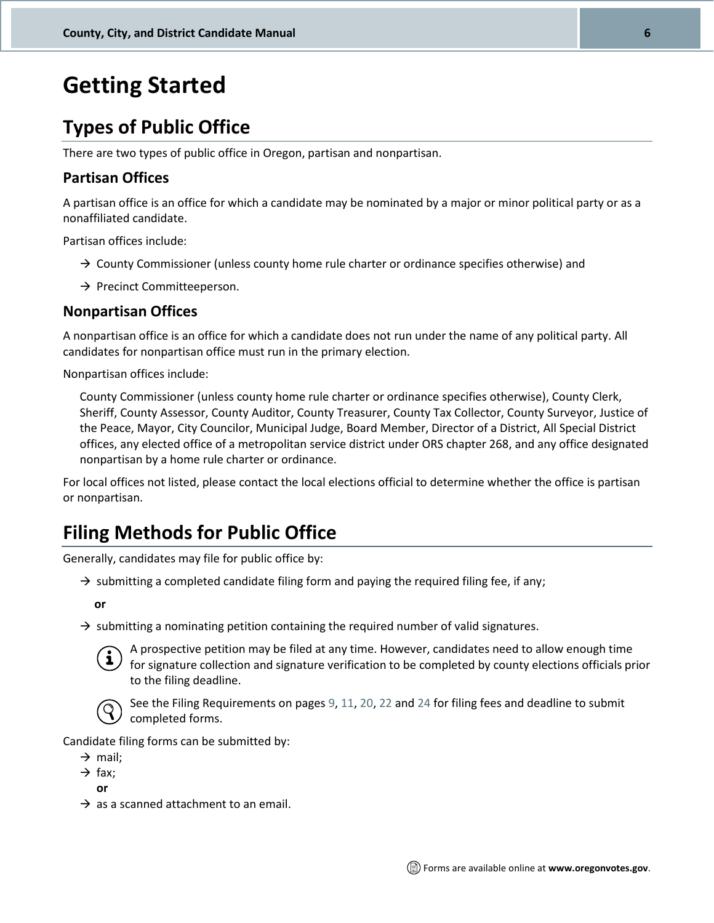## <span id="page-5-0"></span>**Getting Started**

### <span id="page-5-1"></span>**Types of Public Office**

There are two types of public office in Oregon, partisan and nonpartisan.

#### **Partisan Offices**

A partisan office is an office for which a candidate may be nominated by a major or minor political party or as a nonaffiliated candidate.

Partisan offices include:

- $\rightarrow$  County Commissioner (unless county home rule charter or ordinance specifies otherwise) and
- → Precinct Committeeperson.

#### **Nonpartisan Offices**

A nonpartisan office is an office for which a candidate does not run under the name of any political party. All candidates for nonpartisan office must run in the primary election.

Nonpartisan offices include:

County Commissioner (unless county home rule charter or ordinance specifies otherwise), County Clerk, Sheriff, County Assessor, County Auditor, County Treasurer, County Tax Collector, County Surveyor, Justice of the Peace, Mayor, City Councilor, Municipal Judge, Board Member, Director of a District, All Special District offices, any elected office of a metropolitan service district under ORS chapter 268, and any office designated nonpartisan by a home rule charter or ordinance.

For local offices not listed, please contact the local elections official to determine whether the office is partisan or nonpartisan.

### <span id="page-5-2"></span>**Filing Methods for Public Office**

Generally, candidates may file for public office by:

 $\rightarrow$  submitting a completed candidate filing form and paying the required filing fee, if any;

**or**

 $\rightarrow$  submitting a nominating petition containing the required number of valid signatures.



A prospective petition may be filed at any time. However, candidates need to allow enough time for signature collection and signature verification to be completed by county elections officials prior to the filing deadline.



See the Filing Requirements on page[s 9,](#page-7-4) [11,](#page-9-4) [20,](#page-18-0) [22](#page-20-1) and [24](#page-22-2) for filing fees and deadline to submit completed forms.

Candidate filing forms can be submitted by:

- $\rightarrow$  mail;
- $\rightarrow$  fax:

**or**

 $\rightarrow$  as a scanned attachment to an email.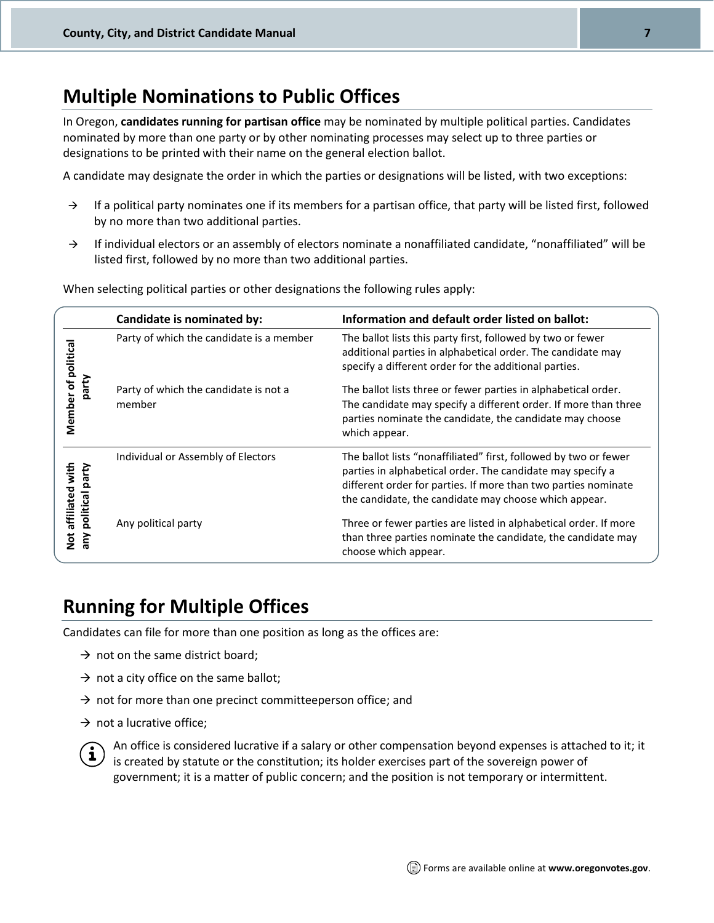### <span id="page-6-0"></span>**Multiple Nominations to Public Offices**

In Oregon, **candidates running for partisan office** may be nominated by multiple political parties. Candidates nominated by more than one party or by other nominating processes may select up to three parties or designations to be printed with their name on the general election ballot.

A candidate may designate the order in which the parties or designations will be listed, with two exceptions:

- $\rightarrow$  If a political party nominates one if its members for a partisan office, that party will be listed first, followed by no more than two additional parties.
- → If individual electors or an assembly of electors nominate a nonaffiliated candidate, "nonaffiliated" will be listed first, followed by no more than two additional parties.

When selecting political parties or other designations the following rules apply:

|                                       | Candidate is nominated by:                      | Information and default order listed on ballot:                                                                                                                                                                                                           |
|---------------------------------------|-------------------------------------------------|-----------------------------------------------------------------------------------------------------------------------------------------------------------------------------------------------------------------------------------------------------------|
|                                       | Party of which the candidate is a member        | The ballot lists this party first, followed by two or fewer<br>additional parties in alphabetical order. The candidate may<br>specify a different order for the additional parties.                                                                       |
| Member of politica<br>party           | Party of which the candidate is not a<br>member | The ballot lists three or fewer parties in alphabetical order.<br>The candidate may specify a different order. If more than three<br>parties nominate the candidate, the candidate may choose<br>which appear.                                            |
| affiliated with<br>party<br>political | Individual or Assembly of Electors              | The ballot lists "nonaffiliated" first, followed by two or fewer<br>parties in alphabetical order. The candidate may specify a<br>different order for parties. If more than two parties nominate<br>the candidate, the candidate may choose which appear. |
| <b>Not</b>                            | Any political party                             | Three or fewer parties are listed in alphabetical order. If more<br>than three parties nominate the candidate, the candidate may<br>choose which appear.                                                                                                  |

### <span id="page-6-1"></span>**Running for Multiple Offices**

Candidates can file for more than one position as long as the offices are:

- $\rightarrow$  not on the same district board;
- $\rightarrow$  not a city office on the same ballot;
- $\rightarrow$  not for more than one precinct committeeperson office; and
- $\rightarrow$  not a lucrative office;



An office is considered lucrative if a salary or other compensation beyond expenses is attached to it; it is created by statute or the constitution; its holder exercises part of the sovereign power of government; it is a matter of public concern; and the position is not temporary or intermittent.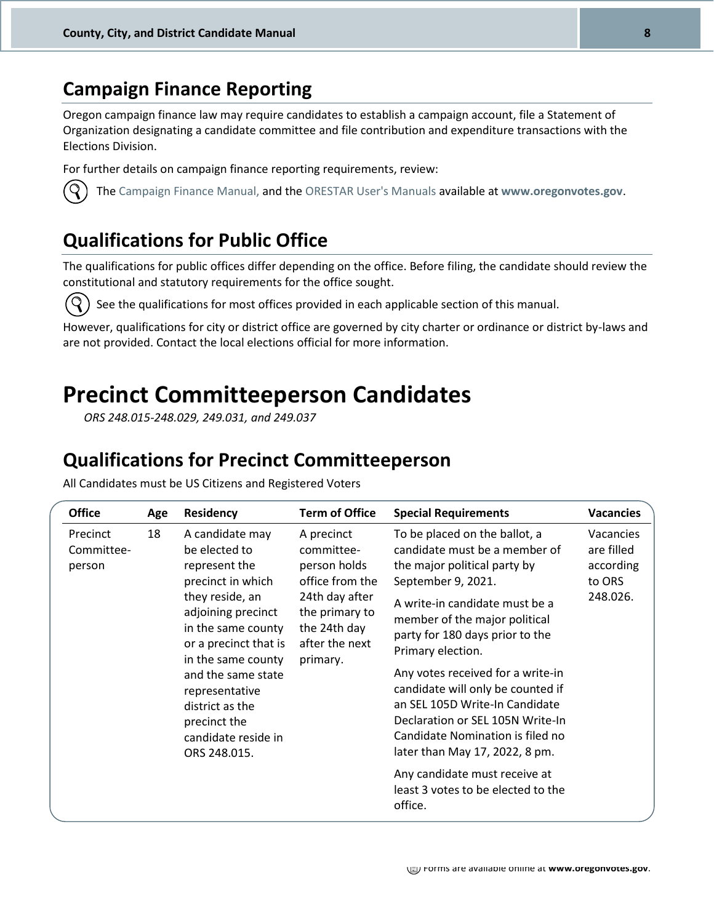### <span id="page-7-0"></span>**Campaign Finance Reporting**

Oregon campaign finance law may require candidates to establish a campaign account, file a Statement of Organization designating a candidate committee and file contribution and expenditure transactions with the Elections Division.

For further details on campaign finance reporting requirements, review:

<span id="page-7-1"></span>

The [Campaign Finance Manual,](http://sos.oregon.gov/elections/Documents/campaign-finance.pdf) and the [ORESTAR User's Manuals](http://sos.oregon.gov/elections/Pages/manuals-tutorials.aspx) available at **[www.oregonvotes.gov](http://www.oregonvotes.gov/)**.

### **Qualifications for Public Office**

The qualifications for public offices differ depending on the office. Before filing, the candidate should review the constitutional and statutory requirements for the office sought.



See the qualifications for most offices provided in each applicable section of this manual.

However, qualifications for city or district office are governed by city charter or ordinance or district by-laws and are not provided. Contact the local elections official for more information.

### <span id="page-7-2"></span>**Precinct Committeeperson Candidates**

*ORS 248.015-248.029, 249.031, and 249.037*

### <span id="page-7-3"></span>**Qualifications for Precinct Committeeperson**

All Candidates must be US Citizens and Registered Voters

<span id="page-7-4"></span>

| <b>Office</b>                    | Age | <b>Residency</b>                                                                                                                                                                                                                                                                                       | <b>Term of Office</b>                                                                                                                         | <b>Special Requirements</b>                                                                                                                                                                                                                                                                                                                                                                                                                                           | <b>Vacancies</b>                                           |
|----------------------------------|-----|--------------------------------------------------------------------------------------------------------------------------------------------------------------------------------------------------------------------------------------------------------------------------------------------------------|-----------------------------------------------------------------------------------------------------------------------------------------------|-----------------------------------------------------------------------------------------------------------------------------------------------------------------------------------------------------------------------------------------------------------------------------------------------------------------------------------------------------------------------------------------------------------------------------------------------------------------------|------------------------------------------------------------|
| Precinct<br>Committee-<br>person | 18  | A candidate may<br>be elected to<br>represent the<br>precinct in which<br>they reside, an<br>adjoining precinct<br>in the same county<br>or a precinct that is<br>in the same county<br>and the same state<br>representative<br>district as the<br>precinct the<br>candidate reside in<br>ORS 248.015. | A precinct<br>committee-<br>person holds<br>office from the<br>24th day after<br>the primary to<br>the 24th day<br>after the next<br>primary. | To be placed on the ballot, a<br>candidate must be a member of<br>the major political party by<br>September 9, 2021.<br>A write-in candidate must be a<br>member of the major political<br>party for 180 days prior to the<br>Primary election.<br>Any votes received for a write-in<br>candidate will only be counted if<br>an SEL 105D Write-In Candidate<br>Declaration or SEL 105N Write-In<br>Candidate Nomination is filed no<br>later than May 17, 2022, 8 pm. | Vacancies<br>are filled<br>according<br>to ORS<br>248.026. |
|                                  |     |                                                                                                                                                                                                                                                                                                        |                                                                                                                                               | Any candidate must receive at<br>least 3 votes to be elected to the<br>office.                                                                                                                                                                                                                                                                                                                                                                                        |                                                            |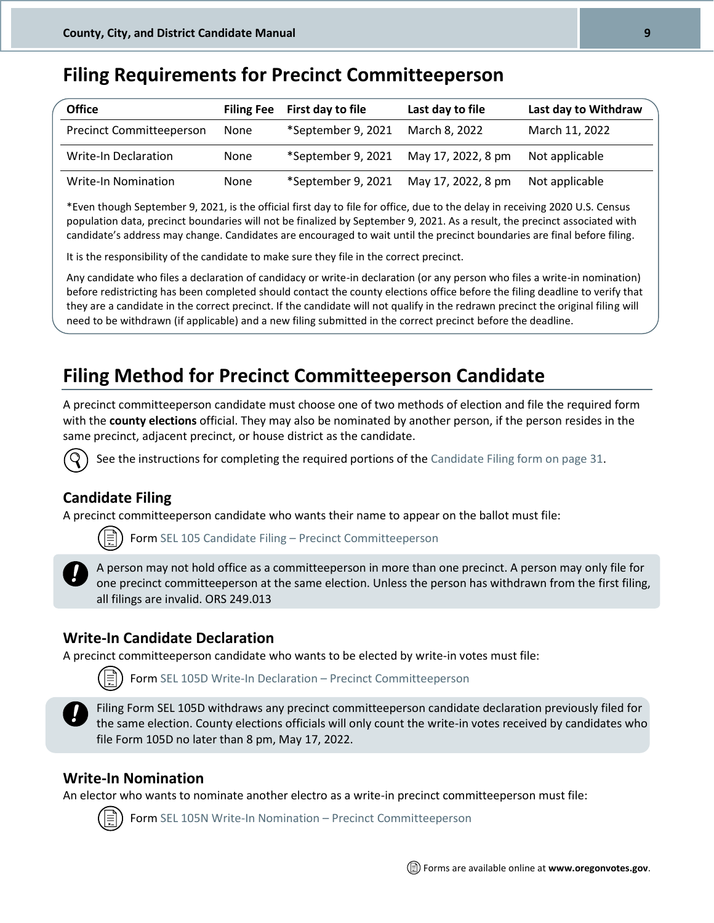### <span id="page-8-0"></span>**Filing Requirements for Precinct Committeeperson**

| <b>Office</b>                   | <b>Filing Fee</b> | First day to file  | Last day to file   | Last day to Withdraw |
|---------------------------------|-------------------|--------------------|--------------------|----------------------|
| <b>Precinct Committeeperson</b> | None              | *September 9, 2021 | March 8, 2022      | March 11, 2022       |
| Write-In Declaration            | None              | *September 9, 2021 | May 17, 2022, 8 pm | Not applicable       |
| <b>Write-In Nomination</b>      | None              | *September 9, 2021 | May 17, 2022, 8 pm | Not applicable       |

\*Even though September 9, 2021, is the official first day to file for office, due to the delay in receiving 2020 U.S. Census population data, precinct boundaries will not be finalized by September 9, 2021. As a result, the precinct associated with candidate's address may change. Candidates are encouraged to wait until the precinct boundaries are final before filing.

It is the responsibility of the candidate to make sure they file in the correct precinct.

Any candidate who files a declaration of candidacy or write-in declaration (or any person who files a write-in nomination) before redistricting has been completed should contact the county elections office before the filing deadline to verify that they are a candidate in the correct precinct. If the candidate will not qualify in the redrawn precinct the original filing will need to be withdrawn (if applicable) and a new filing submitted in the correct precinct before the deadline.

### <span id="page-8-1"></span>**Filing Method for Precinct Committeeperson Candidate**

A precinct committeeperson candidate must choose one of two methods of election and file the required form with the **county elections** official. They may also be nominated by another person, if the person resides in the same precinct, adjacent precinct, or house district as the candidate.



See the instructions for completing the required portions of th[e Candidate Filing form on page 31.](#page-29-0)

#### **Candidate Filing**

A precinct committeeperson candidate who wants their name to appear on the ballot must file:

For[m SEL 105 Candidate](http://sos.oregon.gov/elections/Documents/SEL105.pdf) Filing – Precinct Committeeperson



A person may not hold office as a committeeperson in more than one precinct. A person may only file for one precinct committeeperson at the same election. Unless the person has withdrawn from the first filing, all filings are invalid. ORS 249.013

#### **Write-In Candidate Declaration**

A precinct committeeperson candidate who wants to be elected by write-in votes must file:



For[m SEL 105D](http://sos.oregon.gov/elections/Documents/SEL105.pdf) Write-In Declaration – Precinct Committeeperson



Filing Form SEL 105D withdraws any precinct committeeperson candidate declaration previously filed for the same election. County elections officials will only count the write-in votes received by candidates who file Form 105D no later than 8 pm, May 17, 2022.

#### **Write-In Nomination**

An elector who wants to nominate another electro as a write-in precinct committeeperson must file:

For[m SEL 105N Write-In Nomination](http://sos.oregon.gov/elections/Documents/SEL105.pdf) – Precinct Committeeperson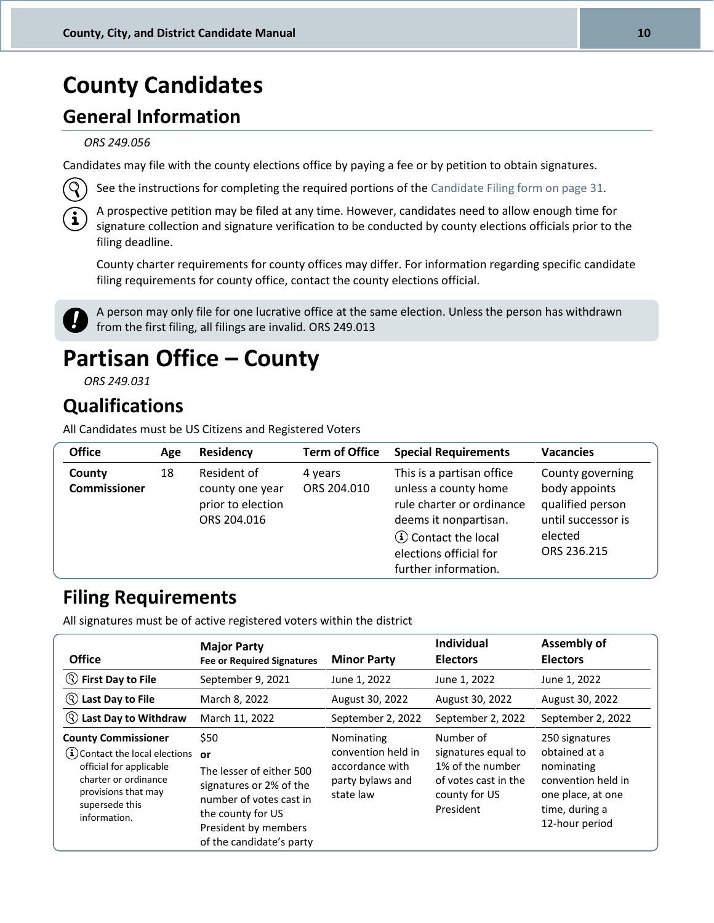## <span id="page-9-0"></span>**County Candidates**

### <span id="page-9-1"></span>**General Information**

#### *ORS 249.056*

Candidates may file with the county elections office by paying a fee or by petition to obtain signatures.



See the instructions for completing the required portions of th[e Candidate Filing form on page 31.](#page-29-0)

A prospective petition may be filed at any time. However, candidates need to allow enough time for signature collection and signature verification to be conducted by county elections officials prior to the filing deadline.

County charter requirements for county offices may differ. For information regarding specific candidate filing requirements for county office, contact the county elections official.



A person may only file for one lucrative office at the same election. Unless the person has withdrawn **f**  $\overline{f}$  from the first filing, all filings are invalid. ORS 249.013

## <span id="page-9-2"></span>**Partisan Office – County**

*ORS 249.031*

### <span id="page-9-3"></span>**Qualifications**

All Candidates must be US Citizens and Registered Voters

| <b>Office</b>                 | Age | <b>Residency</b>                                                   | <b>Term of Office</b>  | <b>Special Requirements</b>                                                                                                                                                               | <b>Vacancies</b>                                                                                      |
|-------------------------------|-----|--------------------------------------------------------------------|------------------------|-------------------------------------------------------------------------------------------------------------------------------------------------------------------------------------------|-------------------------------------------------------------------------------------------------------|
| County<br><b>Commissioner</b> | 18  | Resident of<br>county one year<br>prior to election<br>ORS 204.016 | 4 years<br>ORS 204.010 | This is a partisan office<br>unless a county home<br>rule charter or ordinance<br>deems it nonpartisan.<br><b>(i)</b> Contact the local<br>elections official for<br>further information. | County governing<br>body appoints<br>qualified person<br>until successor is<br>elected<br>ORS 236.215 |

### <span id="page-9-4"></span>**Filing Requirements**

All signatures must be of active registered voters within the district

| <b>Office</b>                                                                                                                                                               | <b>Major Party</b><br><b>Fee or Required Signatures</b>                                                                                                               | <b>Minor Party</b>                                                                   | <b>Individual</b><br><b>Electors</b>                                                                       | <b>Assembly of</b><br><b>Electors</b>                                                                                        |
|-----------------------------------------------------------------------------------------------------------------------------------------------------------------------------|-----------------------------------------------------------------------------------------------------------------------------------------------------------------------|--------------------------------------------------------------------------------------|------------------------------------------------------------------------------------------------------------|------------------------------------------------------------------------------------------------------------------------------|
| <b>S</b> First Day to File                                                                                                                                                  | September 9, 2021                                                                                                                                                     | June 1, 2022                                                                         | June 1, 2022                                                                                               | June 1, 2022                                                                                                                 |
| $( \mathsf{Q} )$<br>Last Day to File                                                                                                                                        | March 8, 2022                                                                                                                                                         | August 30, 2022                                                                      | August 30, 2022                                                                                            | August 30, 2022                                                                                                              |
| (9)<br><b>Last Day to Withdraw</b>                                                                                                                                          | March 11, 2022                                                                                                                                                        | September 2, 2022                                                                    | September 2, 2022                                                                                          | September 2, 2022                                                                                                            |
| <b>County Commissioner</b><br>$(i)$ Contact the local elections<br>official for applicable<br>charter or ordinance<br>provisions that may<br>supersede this<br>information. | \$50<br>or<br>The lesser of either 500<br>signatures or 2% of the<br>number of votes cast in<br>the county for US<br>President by members<br>of the candidate's party | Nominating<br>convention held in<br>accordance with<br>party bylaws and<br>state law | Number of<br>signatures equal to<br>1% of the number<br>of votes cast in the<br>county for US<br>President | 250 signatures<br>obtained at a<br>nominating<br>convention held in<br>one place, at one<br>time, during a<br>12-hour period |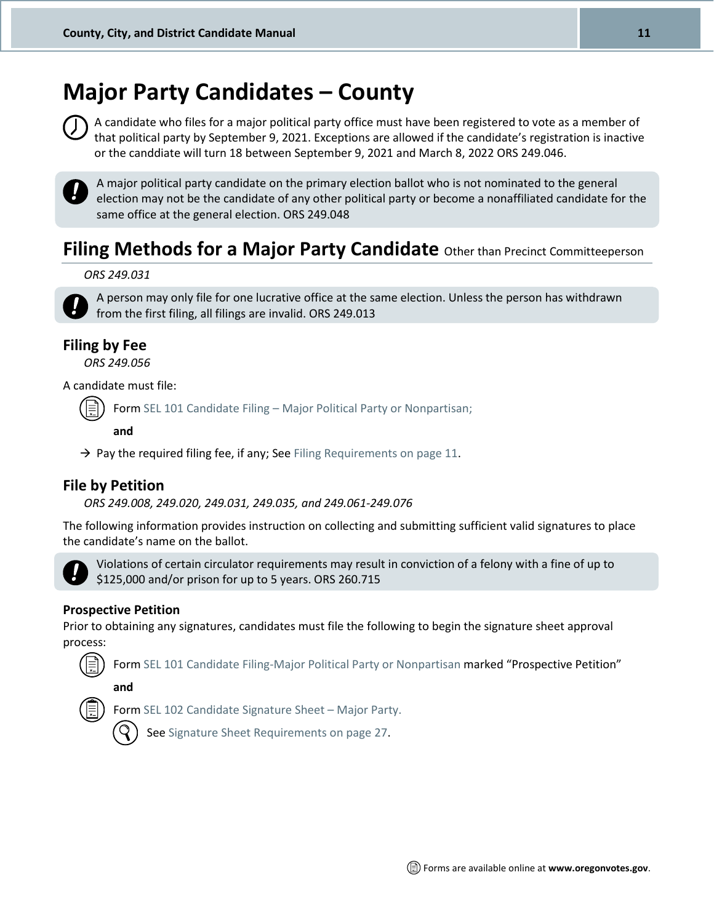## <span id="page-10-0"></span>**Major Party Candidates – County**



A candidate who files for a major political party office must have been registered to vote as a member of that political party by September 9, 2021. Exceptions are allowed if the candidate's registration is inactive or the canddiate will turn 18 between September 9, 2021 and March 8, 2022 ORS 249.046.



A major political party candidate on the primary election ballot who is not nominated to the general election may not be the candidate of any other political party or become a nonaffiliated candidate for the same office at the general election. ORS 249.048

### **Filing Methods for a Major Party Candidate** Other than Precinct Committeeperson

#### *ORS 249.031*



A person may only file for one lucrative office at the same election. Unless the person has withdrawn from the first filing, all filings are invalid. ORS 249.013

#### **Filing by Fee**

*ORS 249.056*

A candidate must file:

Form SEL 101 Candidate Filing – [Major Political Party or Nonpartisan;](http://sos.oregon.gov/elections/Documents/SEL101.pdf)

**and**

 $\rightarrow$  Pay the required filing fee, if any; See [Filing Requirements on page 11.](#page-9-4)

#### **File by Petition**

*ORS 249.008, 249.020, 249.031, 249.035, and 249.061-249.076*

The following information provides instruction on collecting and submitting sufficient valid signatures to place the candidate's name on the ballot.



Violations of certain circulator requirements may result in conviction of a felony with a fine of up to \$125,000 and/or prison for up to 5 years. ORS 260.715

#### **Prospective Petition**

Prior to obtaining any signatures, candidates must file the following to begin the signature sheet approval process:

Form SEL 101 [Candidate Filing-Major Political Party or Nonpartisan](http://sos.oregon.gov/elections/Documents/SEL101.pdf) marked "Prospective Petition"

**and**



Form [SEL 102 Candidate](http://sos.oregon.gov/elections/Documents/SEL102.pdf) Signature Sheet – Major Party.



Se[e Signature Sheet Requirements on page 27.](#page-25-2)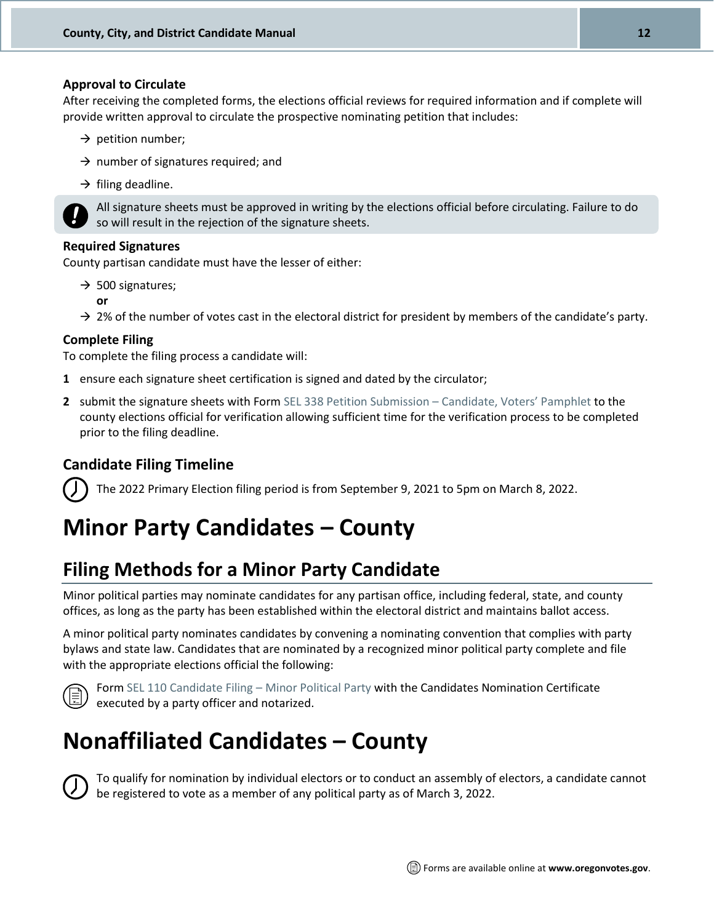#### **Approval to Circulate**

After receiving the completed forms, the elections official reviews for required information and if complete will provide written approval to circulate the prospective nominating petition that includes:

- $\rightarrow$  petition number;
- $\rightarrow$  number of signatures required; and
- $\rightarrow$  filing deadline.



All signature sheets must be approved in writing by the elections official before circulating. Failure to do so will result in the rejection of the signature sheets.

#### **Required Signatures**

County partisan candidate must have the lesser of either:

- $\rightarrow$  500 signatures;
	- **or**
- $\rightarrow$  2% of the number of votes cast in the electoral district for president by members of the candidate's party.

#### **Complete Filing**

To complete the filing process a candidate will:

- **1** ensure each signature sheet certification is signed and dated by the circulator;
- **2** submit the signature sheets with Form [SEL 338 Petition Submission](http://sos.oregon.gov/elections/Documents/SEL338.pdf)  Candidate, Voters' Pamphlet to the county elections official for verification allowing sufficient time for the verification process to be completed prior to the filing deadline.

#### **Candidate Filing Timeline**

The 2022 Primary Election filing period is from September 9, 2021 to 5pm on March 8, 2022.

## <span id="page-11-0"></span>**Minor Party Candidates – County**

### **Filing Methods for a Minor Party Candidate**

Minor political parties may nominate candidates for any partisan office, including federal, state, and county offices, as long as the party has been established within the electoral district and maintains ballot access.

A minor political party nominates candidates by convening a nominating convention that complies with party bylaws and state law. Candidates that are nominated by a recognized minor political party complete and file with the appropriate elections official the following:



Form [SEL 110 Candidate Filing](http://sos.oregon.gov/elections/Documents/SEL110.pdf) – Minor Political Party with the Candidates Nomination Certificate executed by a party officer and notarized.

## <span id="page-11-1"></span>**Nonaffiliated Candidates – County**



To qualify for nomination by individual electors or to conduct an assembly of electors, a candidate cannot be registered to vote as a member of any political party as of March 3, 2022.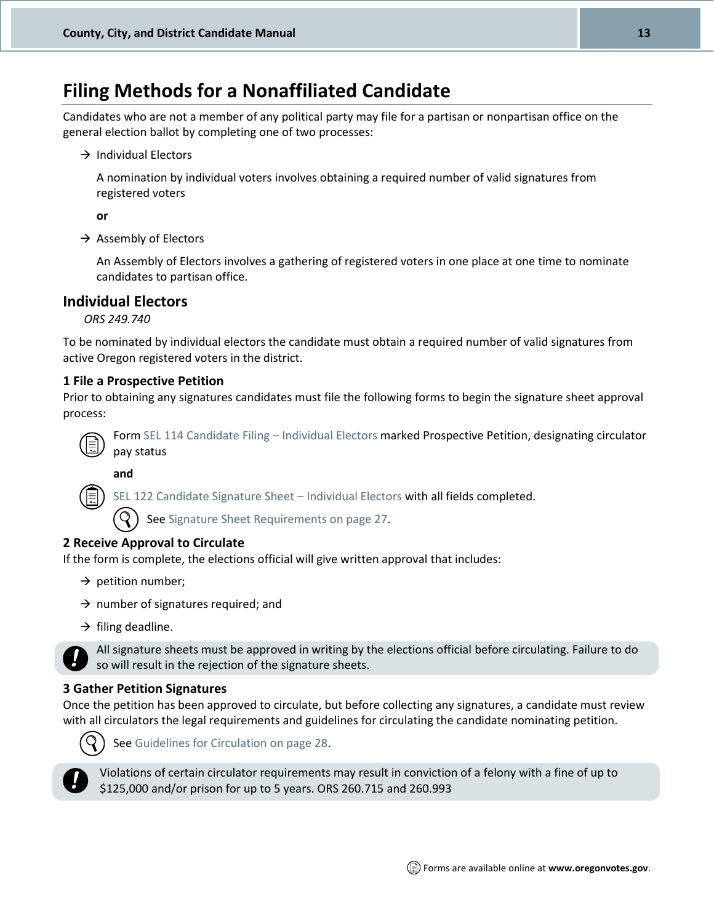### **Filing Methods for a Nonaffiliated Candidate**

Candidates who are not a member of any political party may file for a partisan or nonpartisan office on the general election ballot by completing one of two processes:

 $\rightarrow$  Individual Electors

A nomination by individual voters involves obtaining a required number of valid signatures from registered voters

**or**

 $\rightarrow$  Assembly of Electors

An Assembly of Electors involves a gathering of registered voters in one place at one time to nominate candidates to partisan office.

#### **Individual Electors**

*ORS 249.740*

To be nominated by individual electors the candidate must obtain a required number of valid signatures from active Oregon registered voters in the district.

#### **1 File a Prospective Petition**

Prior to obtaining any signatures candidates must file the following forms to begin the signature sheet approval process:



**and**

[SEL 122 Candidate Signature Sheet](http://sos.oregon.gov/elections/Documents/SEL122.pdf) – Individual Electors with all fields completed.

Se[e Signature Sheet Requirements on page 27.](#page-25-2)

#### **2 Receive Approval to Circulate**

If the form is complete, the elections official will give written approval that includes:

- $\rightarrow$  petition number;
- $\rightarrow$  number of signatures required; and
- $\rightarrow$  filing deadline.

All signature sheets must be approved in writing by the elections official before circulating. Failure to do so will result in the rejection of the signature sheets.

#### **3 Gather Petition Signatures**

Once the petition has been approved to circulate, but before collecting any signatures, a candidate must review with all circulators the legal requirements and guidelines for circulating the candidate nominating petition.



Se[e Guidelines for Circulation on page 28.](#page-26-0)



Violations of certain circulator requirements may result in conviction of a felony with a fine of up to \$125,000 and/or prison for up to 5 years. ORS 260.715 and 260.993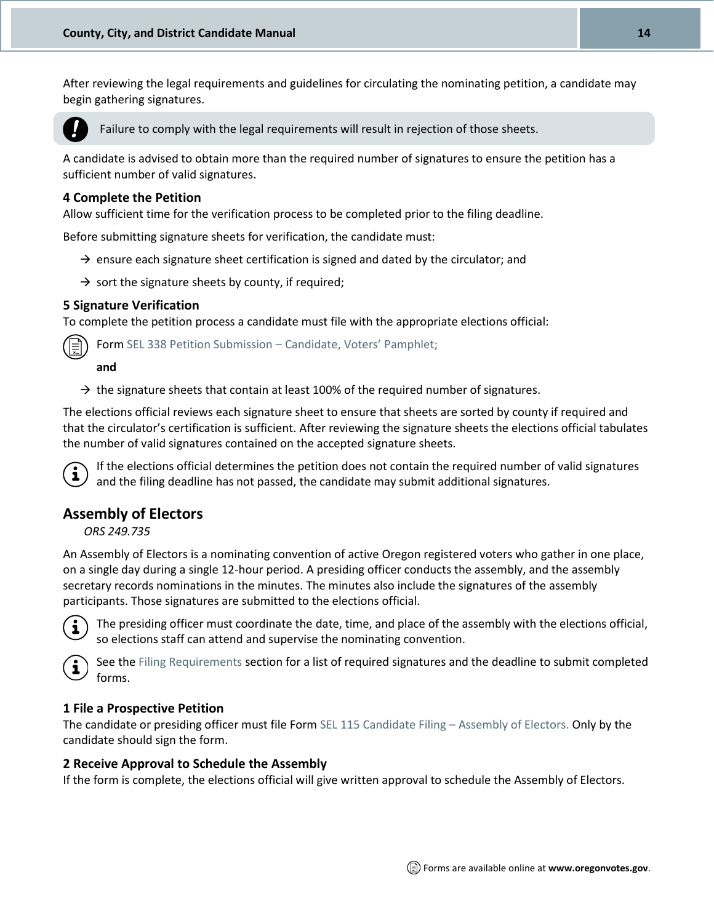After reviewing the legal requirements and guidelines for circulating the nominating petition, a candidate may begin gathering signatures.



Failure to comply with the legal requirements will result in rejection of those sheets.

A candidate is advised to obtain more than the required number of signatures to ensure the petition has a sufficient number of valid signatures.

#### **4 Complete the Petition**

Allow sufficient time for the verification process to be completed prior to the filing deadline.

Before submitting signature sheets for verification, the candidate must:

- $\rightarrow$  ensure each signature sheet certification is signed and dated by the circulator; and
- $\rightarrow$  sort the signature sheets by county, if required;

#### **5 Signature Verification**

To complete the petition process a candidate must file with the appropriate elections official:

Form [SEL 338 Petition Submission](http://sos.oregon.gov/elections/Documents/SEL338.pdf) – Candidate, Voters' Pamphlet;

#### **and**

 $\rightarrow$  the signature sheets that contain at least 100% of the required number of signatures.

The elections official reviews each signature sheet to ensure that sheets are sorted by county if required and that the circulator's certification is sufficient. After reviewing the signature sheets the elections official tabulates the number of valid signatures contained on the accepted signature sheets.



If the elections official determines the petition does not contain the required number of valid signatures and the filing deadline has not passed, the candidate may submit additional signatures.

#### **Assembly of Electors**

*ORS 249.735*

An Assembly of Electors is a nominating convention of active Oregon registered voters who gather in one place, on a single day during a single 12-hour period. A presiding officer conducts the assembly, and the assembly secretary records nominations in the minutes. The minutes also include the signatures of the assembly participants. Those signatures are submitted to the elections official.



The presiding officer must coordinate the date, time, and place of the assembly with the elections official, so elections staff can attend and supervise the nominating convention.



See th[e Filing Requirements](#page-9-4) section for a list of required signatures and the deadline to submit completed forms.

#### **1 File a Prospective Petition**

The candidate or presiding officer must file For[m SEL 115 Candidate Filing](http://sos.oregon.gov/elections/Documents/SEL115.pdf) – Assembly of Electors. Only by the candidate should sign the form.

#### **2 Receive Approval to Schedule the Assembly**

If the form is complete, the elections official will give written approval to schedule the Assembly of Electors.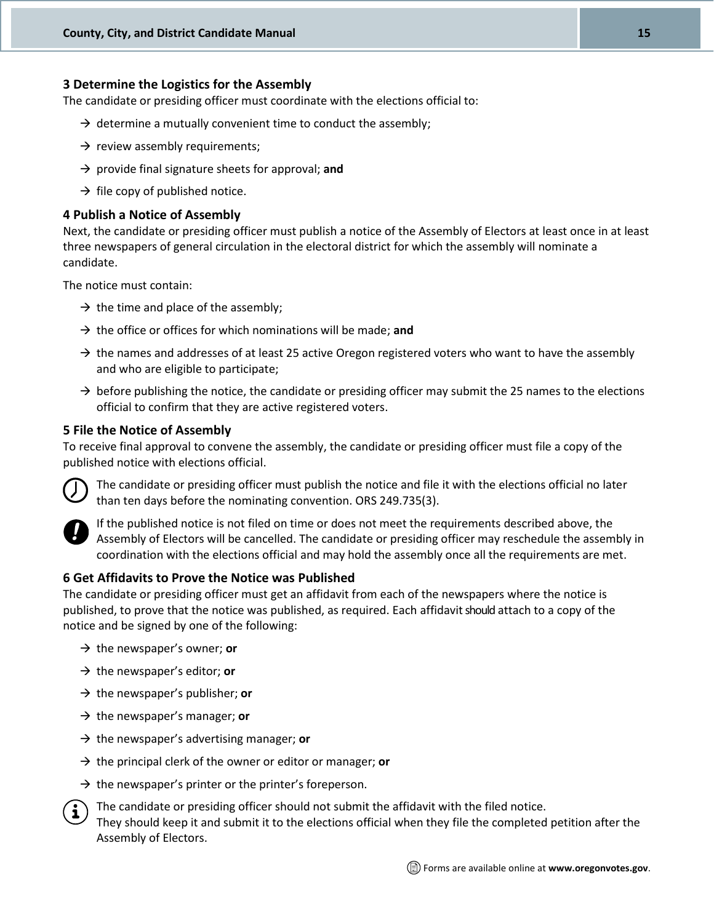#### **3 Determine the Logistics for the Assembly**

The candidate or presiding officer must coordinate with the elections official to:

- $\rightarrow$  determine a mutually convenient time to conduct the assembly;
- $\rightarrow$  review assembly requirements;
- → provide final signature sheets for approval; **and**
- $\rightarrow$  file copy of published notice.

#### **4 Publish a Notice of Assembly**

Next, the candidate or presiding officer must publish a notice of the Assembly of Electors at least once in at least three newspapers of general circulation in the electoral district for which the assembly will nominate a candidate.

The notice must contain:

- $\rightarrow$  the time and place of the assembly;
- → the office or offices for which nominations will be made; **and**
- $\rightarrow$  the names and addresses of at least 25 active Oregon registered voters who want to have the assembly and who are eligible to participate;
- $\rightarrow$  before publishing the notice, the candidate or presiding officer may submit the 25 names to the elections official to confirm that they are active registered voters.

#### **5 File the Notice of Assembly**

To receive final approval to convene the assembly, the candidate or presiding officer must file a copy of the published notice with elections official.



The candidate or presiding officer must publish the notice and file it with the elections official no later than ten days before the nominating convention. ORS 249.735(3).



If the published notice is not filed on time or does not meet the requirements described above, the Assembly of Electors will be cancelled. The candidate or presiding officer may reschedule the assembly in coordination with the elections official and may hold the assembly once all the requirements are met.

#### **6 Get Affidavits to Prove the Notice was Published**

The candidate or presiding officer must get an affidavit from each of the newspapers where the notice is published, to prove that the notice was published, as required. Each affidavit should attach to a copy of the notice and be signed by one of the following:

- → the newspaper's owner; **or**
- → the newspaper's editor; **or**
- → the newspaper's publisher; **or**
- → the newspaper's manager; **or**
- → the newspaper's advertising manager; **or**
- → the principal clerk of the owner or editor or manager; **or**
- $\rightarrow$  the newspaper's printer or the printer's foreperson.
- The candidate or presiding officer should not submit the affidavit with the filed notice. They should keep it and submit it to the elections official when they file the completed petition after the Assembly of Electors.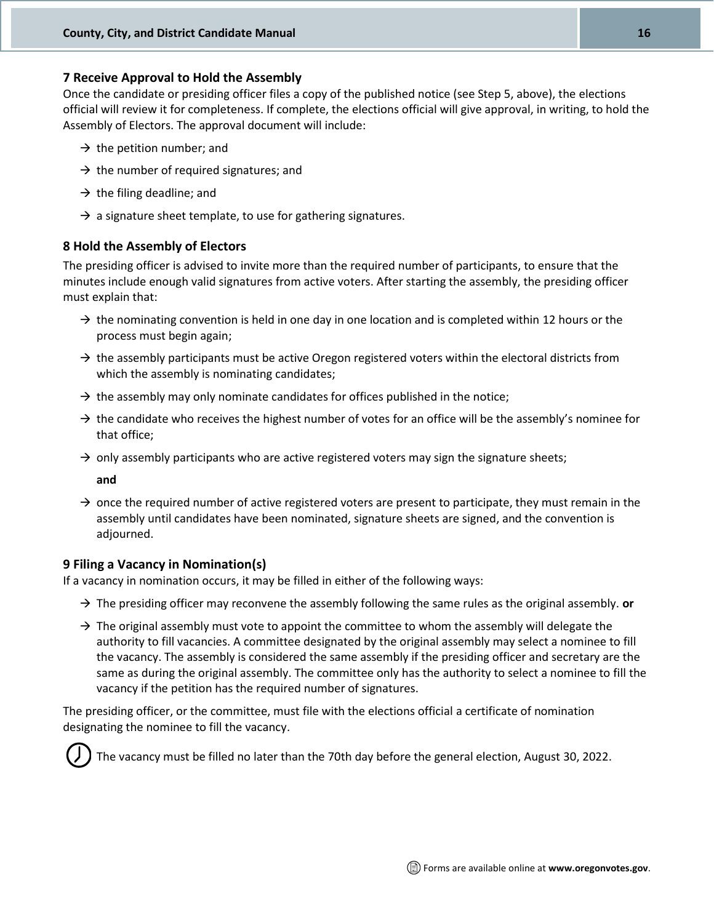#### **7 Receive Approval to Hold the Assembly**

Once the candidate or presiding officer files a copy of the published notice (see Step 5, above), the elections official will review it for completeness. If complete, the elections official will give approval, in writing, to hold the Assembly of Electors. The approval document will include:

- $\rightarrow$  the petition number; and
- $\rightarrow$  the number of required signatures; and
- $\rightarrow$  the filing deadline; and
- $\rightarrow$  a signature sheet template, to use for gathering signatures.

#### **8 Hold the Assembly of Electors**

The presiding officer is advised to invite more than the required number of participants, to ensure that the minutes include enough valid signatures from active voters. After starting the assembly, the presiding officer must explain that:

- $\rightarrow$  the nominating convention is held in one day in one location and is completed within 12 hours or the process must begin again;
- $\rightarrow$  the assembly participants must be active Oregon registered voters within the electoral districts from which the assembly is nominating candidates;
- $\rightarrow$  the assembly may only nominate candidates for offices published in the notice;
- $\rightarrow$  the candidate who receives the highest number of votes for an office will be the assembly's nominee for that office;
- $\rightarrow$  only assembly participants who are active registered voters may sign the signature sheets;

**and**

 $\rightarrow$  once the required number of active registered voters are present to participate, they must remain in the assembly until candidates have been nominated, signature sheets are signed, and the convention is adjourned.

#### **9 Filing a Vacancy in Nomination(s)**

If a vacancy in nomination occurs, it may be filled in either of the following ways:

- → The presiding officer may reconvene the assembly following the same rules as the original assembly. **or**
- $\rightarrow$  The original assembly must vote to appoint the committee to whom the assembly will delegate the authority to fill vacancies. A committee designated by the original assembly may select a nominee to fill the vacancy. The assembly is considered the same assembly if the presiding officer and secretary are the same as during the original assembly. The committee only has the authority to select a nominee to fill the vacancy if the petition has the required number of signatures.

The presiding officer, or the committee, must file with the elections official a certificate of nomination designating the nominee to fill the vacancy.



The vacancy must be filled no later than the 70th day before the general election, August 30, 2022.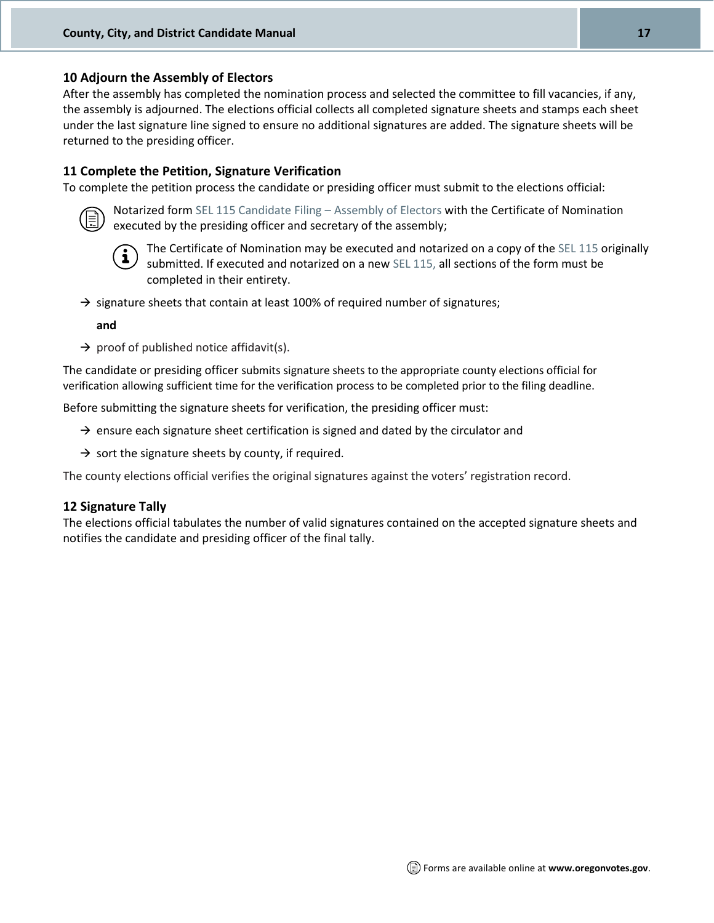#### **10 Adjourn the Assembly of Electors**

After the assembly has completed the nomination process and selected the committee to fill vacancies, if any, the assembly is adjourned. The elections official collects all completed signature sheets and stamps each sheet under the last signature line signed to ensure no additional signatures are added. The signature sheets will be returned to the presiding officer.

#### **11 Complete the Petition, Signature Verification**

To complete the petition process the candidate or presiding officer must submit to the elections official:



Notarized form [SEL 115 Candidate Filing](http://sos.oregon.gov/elections/Documents/SEL115.pdf) – Assembly of Electors with the Certificate of Nomination executed by the presiding officer and secretary of the assembly;



The Certificate of Nomination may be executed and notarized on a copy of the [SEL 115](http://sos.oregon.gov/elections/Documents/SEL115.pdf) originally submitted. If executed and notarized on a new [SEL 115,](http://sos.oregon.gov/elections/Documents/SEL115.pdf) all sections of the form must be completed in their entirety.

 $\rightarrow$  signature sheets that contain at least 100% of required number of signatures;

**and**

 $\rightarrow$  proof of published notice affidavit(s).

The candidate or presiding officer submits signature sheets to the appropriate county elections official for verification allowing sufficient time for the verification process to be completed prior to the filing deadline.

Before submitting the signature sheets for verification, the presiding officer must:

- $\rightarrow$  ensure each signature sheet certification is signed and dated by the circulator and
- $\rightarrow$  sort the signature sheets by county, if required.

The county elections official verifies the original signatures against the voters' registration record.

#### **12 Signature Tally**

The elections official tabulates the number of valid signatures contained on the accepted signature sheets and notifies the candidate and presiding officer of the final tally.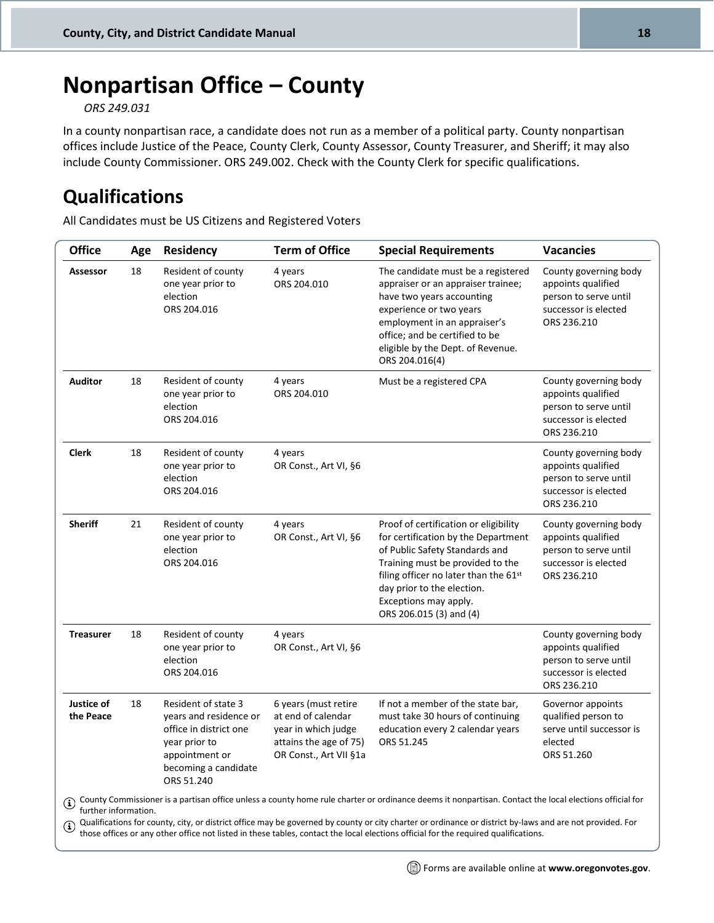## <span id="page-17-0"></span>**Nonpartisan Office – County**

*ORS 249.031*

In a county nonpartisan race, a candidate does not run as a member of a political party. County nonpartisan offices include Justice of the Peace, County Clerk, County Assessor, County Treasurer, and Sheriff; it may also include County Commissioner. ORS 249.002. Check with the County Clerk for specific qualifications.

### <span id="page-17-1"></span>**Qualifications**

All Candidates must be US Citizens and Registered Voters

| <b>Office</b>                                                                                                                                                                                                                                                                                                                                                                                                                                                                                     | Age | Residency                                                                                                                                        | <b>Term of Office</b>                                                                                                 | <b>Special Requirements</b>                                                                                                                                                                                                                                                   | <b>Vacancies</b>                                                                                            |
|---------------------------------------------------------------------------------------------------------------------------------------------------------------------------------------------------------------------------------------------------------------------------------------------------------------------------------------------------------------------------------------------------------------------------------------------------------------------------------------------------|-----|--------------------------------------------------------------------------------------------------------------------------------------------------|-----------------------------------------------------------------------------------------------------------------------|-------------------------------------------------------------------------------------------------------------------------------------------------------------------------------------------------------------------------------------------------------------------------------|-------------------------------------------------------------------------------------------------------------|
| <b>Assessor</b>                                                                                                                                                                                                                                                                                                                                                                                                                                                                                   | 18  | Resident of county<br>one year prior to<br>election<br>ORS 204.016                                                                               | 4 years<br>ORS 204.010                                                                                                | The candidate must be a registered<br>appraiser or an appraiser trainee;<br>have two years accounting<br>experience or two years<br>employment in an appraiser's<br>office; and be certified to be<br>eligible by the Dept. of Revenue.<br>ORS 204.016(4)                     | County governing body<br>appoints qualified<br>person to serve until<br>successor is elected<br>ORS 236.210 |
| <b>Auditor</b>                                                                                                                                                                                                                                                                                                                                                                                                                                                                                    | 18  | Resident of county<br>one year prior to<br>election<br>ORS 204.016                                                                               | 4 years<br>ORS 204.010                                                                                                | Must be a registered CPA                                                                                                                                                                                                                                                      | County governing body<br>appoints qualified<br>person to serve until<br>successor is elected<br>ORS 236.210 |
| <b>Clerk</b>                                                                                                                                                                                                                                                                                                                                                                                                                                                                                      | 18  | Resident of county<br>one year prior to<br>election<br>ORS 204.016                                                                               | 4 years<br>OR Const., Art VI, §6                                                                                      |                                                                                                                                                                                                                                                                               | County governing body<br>appoints qualified<br>person to serve until<br>successor is elected<br>ORS 236.210 |
| <b>Sheriff</b>                                                                                                                                                                                                                                                                                                                                                                                                                                                                                    | 21  | Resident of county<br>one year prior to<br>election<br>ORS 204.016                                                                               | 4 years<br>OR Const., Art VI, §6                                                                                      | Proof of certification or eligibility<br>for certification by the Department<br>of Public Safety Standards and<br>Training must be provided to the<br>filing officer no later than the 61st<br>day prior to the election.<br>Exceptions may apply.<br>ORS 206.015 (3) and (4) | County governing body<br>appoints qualified<br>person to serve until<br>successor is elected<br>ORS 236.210 |
| <b>Treasurer</b>                                                                                                                                                                                                                                                                                                                                                                                                                                                                                  | 18  | Resident of county<br>one year prior to<br>election<br>ORS 204.016                                                                               | 4 years<br>OR Const., Art VI, §6                                                                                      |                                                                                                                                                                                                                                                                               | County governing body<br>appoints qualified<br>person to serve until<br>successor is elected<br>ORS 236.210 |
| Justice of<br>the Peace                                                                                                                                                                                                                                                                                                                                                                                                                                                                           | 18  | Resident of state 3<br>years and residence or<br>office in district one<br>year prior to<br>appointment or<br>becoming a candidate<br>ORS 51.240 | 6 years (must retire<br>at end of calendar<br>year in which judge<br>attains the age of 75)<br>OR Const., Art VII §1a | If not a member of the state bar,<br>must take 30 hours of continuing<br>education every 2 calendar years<br>ORS 51.245                                                                                                                                                       | Governor appoints<br>qualified person to<br>serve until successor is<br>elected<br>ORS 51.260               |
| County Commissioner is a partisan office unless a county home rule charter or ordinance deems it nonpartisan. Contact the local elections official for<br>further information.<br>Qualifications for county, city, or district office may be governed by county or city charter or ordinance or district by-laws and are not provided. For<br>$\mathbf{G}$<br>those offices or any other office not listed in these tables, contact the local elections official for the required qualifications. |     |                                                                                                                                                  |                                                                                                                       |                                                                                                                                                                                                                                                                               |                                                                                                             |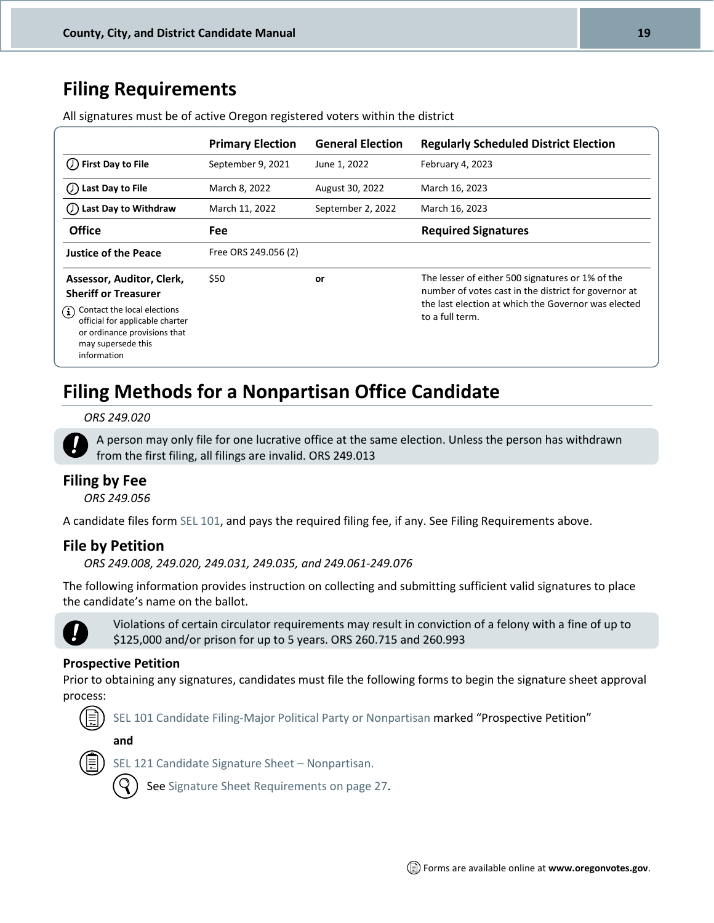### <span id="page-18-0"></span>**Filing Requirements**

|                                                                                                                                        | <b>Primary Election</b> | <b>General Election</b> | <b>Regularly Scheduled District Election</b>                                                                                                                                       |
|----------------------------------------------------------------------------------------------------------------------------------------|-------------------------|-------------------------|------------------------------------------------------------------------------------------------------------------------------------------------------------------------------------|
| $\mathcal{O}$ First Day to File                                                                                                        | September 9, 2021       | June 1, 2022            | February 4, 2023                                                                                                                                                                   |
| Last Day to File                                                                                                                       | March 8, 2022           | August 30, 2022         | March 16, 2023                                                                                                                                                                     |
| Last Day to Withdraw                                                                                                                   | March 11, 2022          | September 2, 2022       | March 16, 2023                                                                                                                                                                     |
| <b>Office</b>                                                                                                                          | <b>Fee</b>              |                         | <b>Required Signatures</b>                                                                                                                                                         |
| <b>Justice of the Peace</b>                                                                                                            | Free ORS 249.056 (2)    |                         |                                                                                                                                                                                    |
| Assessor, Auditor, Clerk,<br><b>Sheriff or Treasurer</b><br>Contact the local elections<br>$\bf(i)$<br>official for applicable charter | \$50                    | or                      | The lesser of either 500 signatures or 1% of the<br>number of votes cast in the district for governor at<br>the last election at which the Governor was elected<br>to a full term. |
| or ordinance provisions that<br>may supersede this<br>information                                                                      |                         |                         |                                                                                                                                                                                    |

All signatures must be of active Oregon registered voters within the district

### <span id="page-18-1"></span>**Filing Methods for a Nonpartisan Office Candidate**

#### *ORS 249.020*

A person may only file for one lucrative office at the same election. Unless the person has withdrawn from the first filing, all filings are invalid. ORS 249.013

#### **Filing by Fee**

*ORS 249.056*

A candidate files for[m SEL 101,](http://sos.oregon.gov/elections/Documents/SEL101.pdf) and pays the required filing fee, if any. See Filing Requirements above.

#### **File by Petition**

*ORS 249.008, 249.020, 249.031, 249.035, and 249.061-249.076*

The following information provides instruction on collecting and submitting sufficient valid signatures to place the candidate's name on the ballot.



Violations of certain circulator requirements may result in conviction of a felony with a fine of up to \$125,000 and/or prison for up to 5 years. ORS 260.715 and 260.993

#### **Prospective Petition**

Prior to obtaining any signatures, candidates must file the following forms to begin the signature sheet approval process:



**and**



[SEL 121 Candidate Signature Sheet](http://sos.oregon.gov/elections/Documents/SEL121.pdf) – Nonpartisan.

Se[e Signature Sheet Requirements on page 27.](#page-25-2)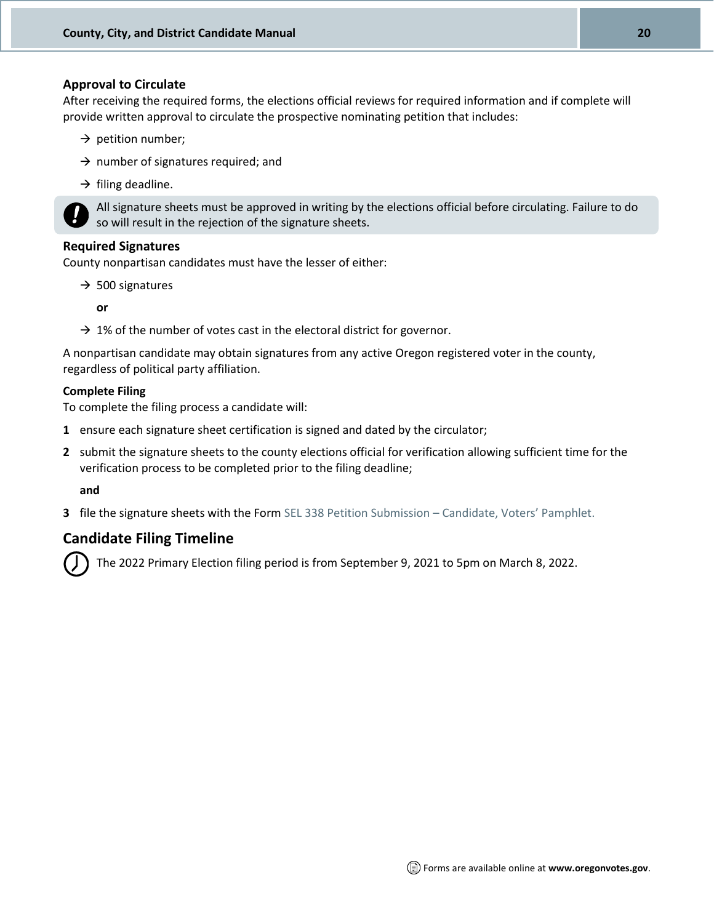#### **Approval to Circulate**

After receiving the required forms, the elections official reviews for required information and if complete will provide written approval to circulate the prospective nominating petition that includes:

- $\rightarrow$  petition number;
- $\rightarrow$  number of signatures required; and
- $\rightarrow$  filing deadline.



All signature sheets must be approved in writing by the elections official before circulating. Failure to do so will result in the rejection of the signature sheets.

#### **Required Signatures**

County nonpartisan candidates must have the lesser of either:

- $\rightarrow$  500 signatures
	- **or**
- $\rightarrow$  1% of the number of votes cast in the electoral district for governor.

A nonpartisan candidate may obtain signatures from any active Oregon registered voter in the county, regardless of political party affiliation.

#### **Complete Filing**

To complete the filing process a candidate will:

- **1** ensure each signature sheet certification is signed and dated by the circulator;
- **2** submit the signature sheets to the county elections official for verification allowing sufficient time for the verification process to be completed prior to the filing deadline;

**and**

**3** file the signature sheets with the For[m SEL 338 Petition Submission](http://sos.oregon.gov/elections/Documents/SEL338.pdf) – Candidate, Voters' Pamphlet.

#### **Candidate Filing Timeline**

The 2022 Primary Election filing period is from September 9, 2021 to 5pm on March 8, 2022.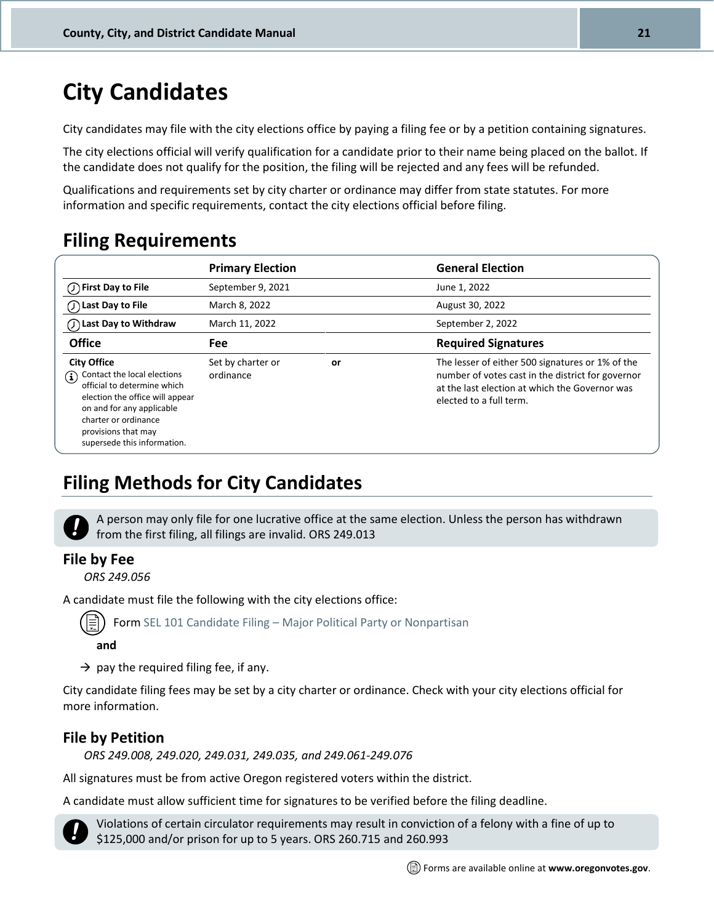## <span id="page-20-0"></span>**City Candidates**

City candidates may file with the city elections office by paying a filing fee or by a petition containing signatures.

The city elections official will verify qualification for a candidate prior to their name being placed on the ballot. If the candidate does not qualify for the position, the filing will be rejected and any fees will be refunded.

Qualifications and requirements set by city charter or ordinance may differ from state statutes. For more information and specific requirements, contact the city elections official before filing.

### <span id="page-20-1"></span>**Filing Requirements**

|                                                                                                                                                                                                                                             | <b>Primary Election</b>        |    | <b>General Election</b>                                                                                                                                                            |
|---------------------------------------------------------------------------------------------------------------------------------------------------------------------------------------------------------------------------------------------|--------------------------------|----|------------------------------------------------------------------------------------------------------------------------------------------------------------------------------------|
| $\left(\overline{\phantom{a}}\right)$ First Day to File                                                                                                                                                                                     | September 9, 2021              |    | June 1, 2022                                                                                                                                                                       |
| ◯ Last Day to File                                                                                                                                                                                                                          | March 8, 2022                  |    | August 30, 2022                                                                                                                                                                    |
| () Last Day to Withdraw                                                                                                                                                                                                                     | March 11, 2022                 |    | September 2, 2022                                                                                                                                                                  |
| <b>Office</b>                                                                                                                                                                                                                               | <b>Fee</b>                     |    | <b>Required Signatures</b>                                                                                                                                                         |
| <b>City Office</b><br>Contact the local elections<br>$\bf (i)$<br>official to determine which<br>election the office will appear<br>on and for any applicable<br>charter or ordinance<br>provisions that may<br>supersede this information. | Set by charter or<br>ordinance | or | The lesser of either 500 signatures or 1% of the<br>number of votes cast in the district for governor<br>at the last election at which the Governor was<br>elected to a full term. |

### <span id="page-20-2"></span>**Filing Methods for City Candidates**

A person may only file for one lucrative office at the same election. Unless the person has withdrawn from the first filing, all filings are invalid. ORS 249.013

#### **File by Fee**

*ORS 249.056*

A candidate must file the following with the city elections office:

Form SEL 101 Candidate Filing – [Major Political Party or Nonpartisan](http://sos.oregon.gov/elections/Documents/SEL101.pdf)

#### **and**

 $\rightarrow$  pay the required filing fee, if any.

City candidate filing fees may be set by a city charter or ordinance. Check with your city elections official for more information.

#### **File by Petition**

*ORS 249.008, 249.020, 249.031, 249.035, and 249.061-249.076*

All signatures must be from active Oregon registered voters within the district.

A candidate must allow sufficient time for signatures to be verified before the filing deadline.

Violations of certain circulator requirements may result in conviction of a felony with a fine of up to \$125,000 and/or prison for up to 5 years. ORS 260.715 and 260.993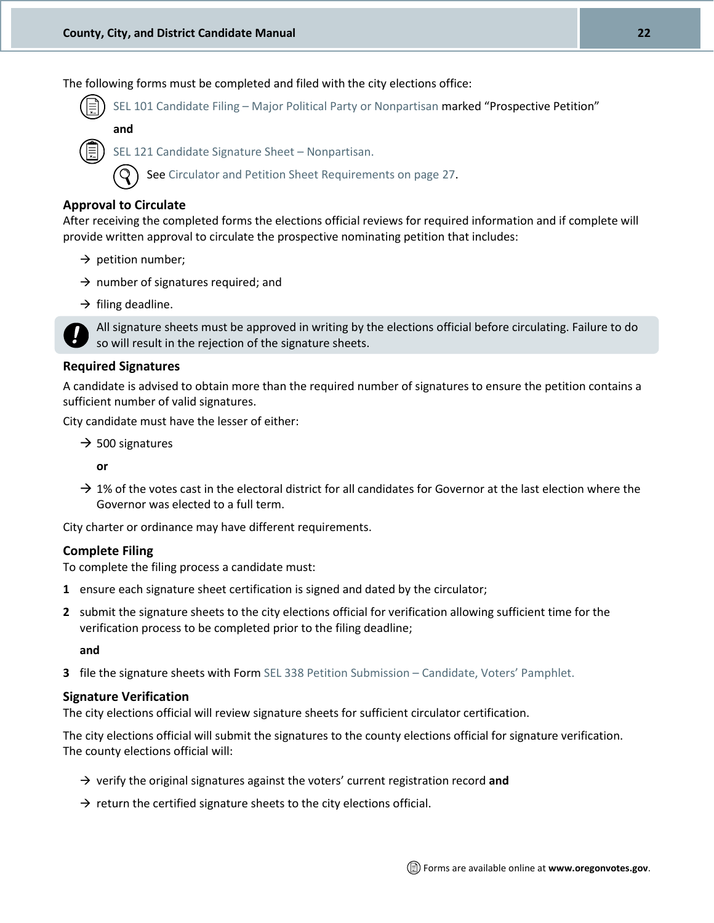The following forms must be completed and filed with the city elections office:

SEL 101 Candidate Filing – [Major Political Party or Nonpartisan](http://sos.oregon.gov/elections/Documents/SEL101.pdf) marked "Prospective Petition"

**and**

[SEL 121 Candidate Signature Sheet](http://sos.oregon.gov/elections/Documents/SEL121.pdf) – Nonpartisan.

Se[e Circulator and Petition Sheet Requirements on page 27.](#page-25-1)

#### **Approval to Circulate**

After receiving the completed forms the elections official reviews for required information and if complete will provide written approval to circulate the prospective nominating petition that includes:

- $\rightarrow$  petition number;
- $\rightarrow$  number of signatures required; and
- $\rightarrow$  filing deadline.

All signature sheets must be approved in writing by the elections official before circulating. Failure to do so will result in the rejection of the signature sheets.

#### **Required Signatures**

A candidate is advised to obtain more than the required number of signatures to ensure the petition contains a sufficient number of valid signatures.

City candidate must have the lesser of either:

 $\rightarrow$  500 signatures

**or**

 $\rightarrow$  1% of the votes cast in the electoral district for all candidates for Governor at the last election where the Governor was elected to a full term.

City charter or ordinance may have different requirements.

#### **Complete Filing**

To complete the filing process a candidate must:

- **1** ensure each signature sheet certification is signed and dated by the circulator;
- **2** submit the signature sheets to the city elections official for verification allowing sufficient time for the verification process to be completed prior to the filing deadline;

**and**

**3** file the signature sheets with Form [SEL 338 Petition Submission](http://sos.oregon.gov/elections/Documents/SEL338.pdf) – Candidate, Voters' Pamphlet.

#### **Signature Verification**

The city elections official will review signature sheets for sufficient circulator certification.

The city elections official will submit the signatures to the county elections official for signature verification. The county elections official will:

- → verify the original signatures against the voters' current registration record **and**
- $\rightarrow$  return the certified signature sheets to the city elections official.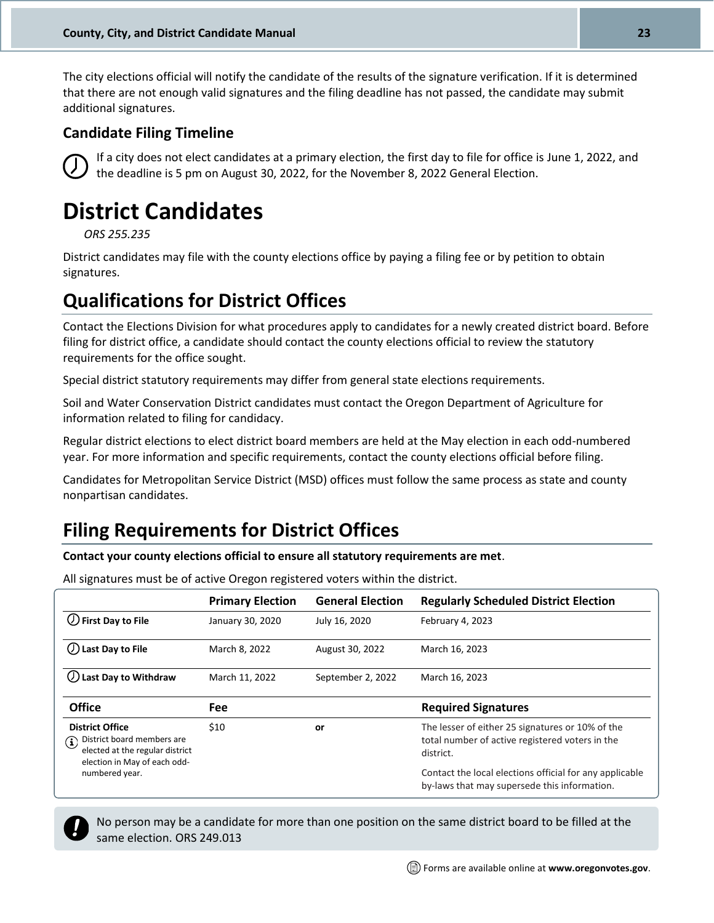The city elections official will notify the candidate of the results of the signature verification. If it is determined that there are not enough valid signatures and the filing deadline has not passed, the candidate may submit additional signatures.

#### **Candidate Filing Timeline**



If a city does not elect candidates at a primary election, the first day to file for office is June 1, 2022, and the deadline is 5 pm on August 30, 2022, for the November 8, 2022 General Election.

## <span id="page-22-0"></span>**District Candidates**

*ORS 255.235*

District candidates may file with the county elections office by paying a filing fee or by petition to obtain signatures.

### <span id="page-22-1"></span>**Qualifications for District Offices**

Contact the Elections Division for what procedures apply to candidates for a newly created district board. Before filing for district office, a candidate should contact the county elections official to review the statutory requirements for the office sought.

Special district statutory requirements may differ from general state elections requirements.

Soil and Water Conservation District candidates must contact the Oregon Department of Agriculture for information related to filing for candidacy.

Regular district elections to elect district board members are held at the May election in each odd-numbered year. For more information and specific requirements, contact the county elections official before filing.

Candidates for Metropolitan Service District (MSD) offices must follow the same process as state and county nonpartisan candidates.

### <span id="page-22-2"></span>**Filing Requirements for District Offices**

**Contact your county elections official to ensure all statutory requirements are met**.

All signatures must be of active Oregon registered voters within the district.

|                                                                                                                                     | <b>Primary Election</b> | <b>General Election</b> | <b>Regularly Scheduled District Election</b>                                                                     |
|-------------------------------------------------------------------------------------------------------------------------------------|-------------------------|-------------------------|------------------------------------------------------------------------------------------------------------------|
| $\bigcup$ First Day to File                                                                                                         | January 30, 2020        | July 16, 2020           | February 4, 2023                                                                                                 |
| Last Day to File                                                                                                                    | March 8, 2022           | August 30, 2022         | March 16, 2023                                                                                                   |
| Last Day to Withdraw                                                                                                                | March 11, 2022          | September 2, 2022       | March 16, 2023                                                                                                   |
| <b>Office</b>                                                                                                                       | Fee                     |                         | <b>Required Signatures</b>                                                                                       |
| <b>District Office</b><br>District board members are<br>$\bf(i)$<br>elected at the regular district<br>election in May of each odd- | \$10                    | or                      | The lesser of either 25 signatures or 10% of the<br>total number of active registered voters in the<br>district. |
| numbered year.                                                                                                                      |                         |                         | Contact the local elections official for any applicable<br>by-laws that may supersede this information.          |



No person may be a candidate for more than one position on the same district board to be filled at the same election. ORS 249.013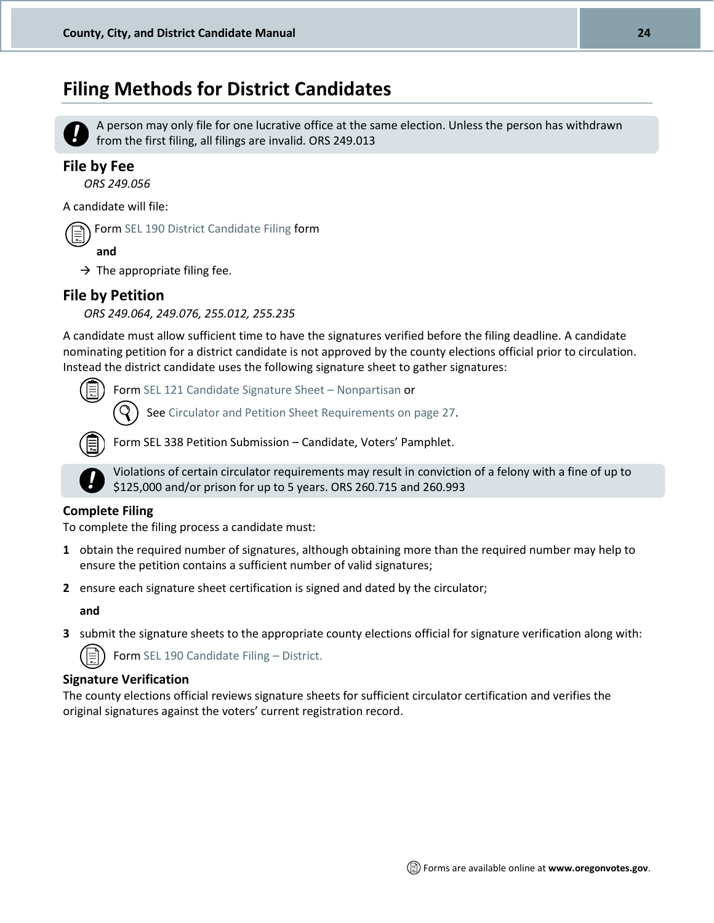### <span id="page-23-0"></span>**Filing Methods for District Candidates**



A person may only file for one lucrative office at the same election. Unless the person has withdrawn from the first filing, all filings are invalid. ORS 249.013

#### **File by Fee**

*ORS 249.056*

A candidate will file:



Form [SEL 190 District Candidate Filing](http://sos.oregon.gov/elections/Documents/SEL190.pdf) form

**and**

 $\rightarrow$  The appropriate filing fee.

#### **File by Petition**

*ORS 249.064, 249.076, 255.012, 255.235*

A candidate must allow sufficient time to have the signatures verified before the filing deadline. A candidate nominating petition for a district candidate is not approved by the county elections official prior to circulation. Instead the district candidate uses the following signature sheet to gather signatures:

Form [SEL 121 Candidate Signature Sheet](http://sos.oregon.gov/elections/Documents/SEL121.pdf) – Nonpartisan or

Se[e Circulator and Petition Sheet Requirements on page 27.](#page-25-1)



Form SEL 338 Petition Submission – Candidate, Voters' Pamphlet.



Violations of certain circulator requirements may result in conviction of a felony with a fine of up to \$125,000 and/or prison for up to 5 years. ORS 260.715 and 260.993

#### **Complete Filing**

To complete the filing process a candidate must:

- **1** obtain the required number of signatures, although obtaining more than the required number may help to ensure the petition contains a sufficient number of valid signatures;
- **2** ensure each signature sheet certification is signed and dated by the circulator;

**and**

**3** submit the signature sheets to the appropriate county elections official for signature verification along with:

Form [SEL 190 Candidate Filing](http://sos.oregon.gov/elections/Documents/SEL190.pdf) – District.

#### **Signature Verification**

The county elections official reviews signature sheets for sufficient circulator certification and verifies the original signatures against the voters' current registration record.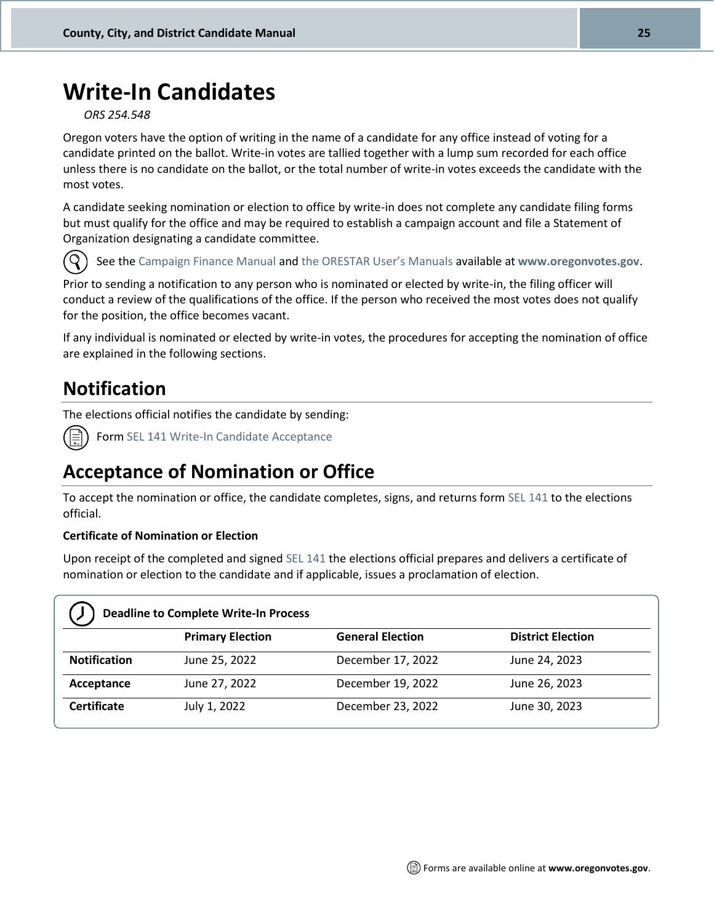## <span id="page-24-0"></span>**Write-In Candidates**

*ORS 254.548*

Oregon voters have the option of writing in the name of a candidate for any office instead of voting for a candidate printed on the ballot. Write-in votes are tallied together with a lump sum recorded for each office unless there is no candidate on the ballot, or the total number of write-in votes exceeds the candidate with the most votes.

A candidate seeking nomination or election to office by write-in does not complete any candidate filing forms but must qualify for the office and may be required to establish a campaign account and file a Statement of Organization designating a candidate committee.



See th[e Campaign Finance Manual](http://sos.oregon.gov/elections/Pages/manuals-tutorials.aspx) an[d the ORESTAR User](http://sos.oregon.gov/elections/Pages/manuals-tutorials.aspx)'s Manuals available at **[www.oregonvotes.gov](http://www.oregonvotes.gov/)**.

Prior to sending a notification to any person who is nominated or elected by write-in, the filing officer will conduct a review of the qualifications of the office. If the person who received the most votes does not qualify for the position, the office becomes vacant.

If any individual is nominated or elected by write-in votes, the procedures for accepting the nomination of office are explained in the following sections.

### <span id="page-24-1"></span>**Notification**

The elections official notifies the candidate by sending:



Form SEL 141 [Write-In Candidate Acceptance](http://sos.oregon.gov/elections/Documents/SEL141.pdf)

### <span id="page-24-2"></span>**Acceptance of Nomination or Office**

To accept the nomination or office, the candidate completes, signs, and returns for[m SEL 141](http://sos.oregon.gov/elections/Documents/SEL141.pdf) to the elections official.

#### **Certificate of Nomination or Election**

Upon receipt of the completed and signed [SEL 141](http://sos.oregon.gov/elections/Documents/SEL141.pdf) the elections official prepares and delivers a certificate of nomination or election to the candidate and if applicable, issues a proclamation of election.

| <b>Deadline to Complete Write-In Process</b> |                         |                         |                          |
|----------------------------------------------|-------------------------|-------------------------|--------------------------|
|                                              | <b>Primary Election</b> | <b>General Election</b> | <b>District Election</b> |
| <b>Notification</b>                          | June 25, 2022           | December 17, 2022       | June 24, 2023            |
| Acceptance                                   | June 27, 2022           | December 19, 2022       | June 26, 2023            |
| <b>Certificate</b>                           | July 1, 2022            | December 23, 2022       | June 30, 2023            |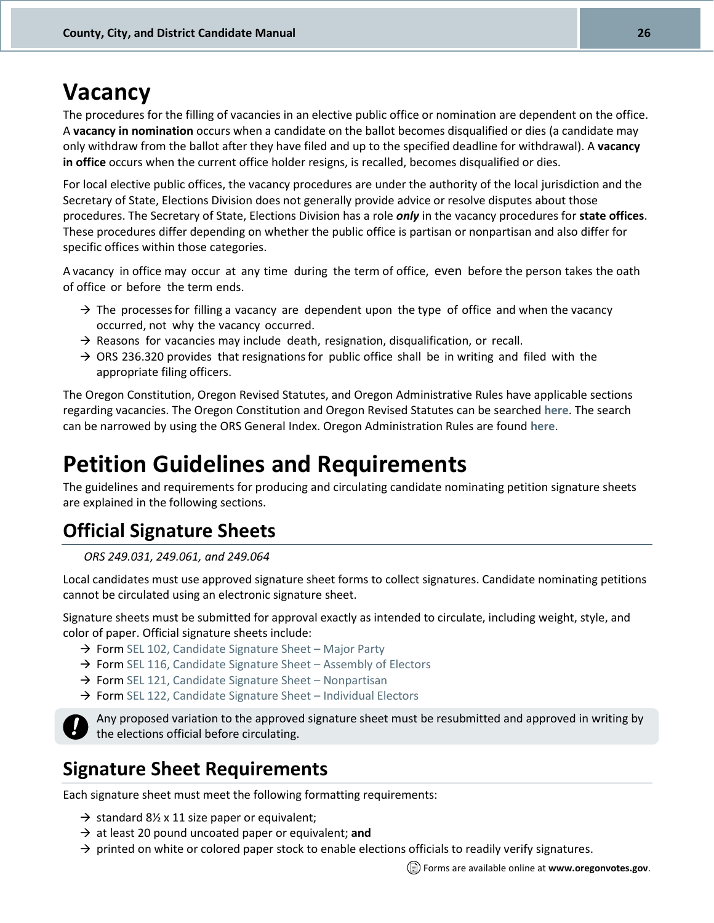## <span id="page-25-0"></span>**Vacancy**

The procedures for the filling of vacancies in an elective public office or nomination are dependent on the office. A **vacancy in nomination** occurs when a candidate on the ballot becomes disqualified or dies (a candidate may only withdraw from the ballot after they have filed and up to the specified deadline for withdrawal). A **vacancy in office** occurs when the current office holder resigns, is recalled, becomes disqualified or dies.

For local elective public offices, the vacancy procedures are under the authority of the local jurisdiction and the Secretary of State, Elections Division does not generally provide advice or resolve disputes about those procedures. The Secretary of State, Elections Division has a role *only* in the vacancy procedures for **state offices**. These procedures differ depending on whether the public office is partisan or nonpartisan and also differ for specific offices within those categories.

A vacancy in office may occur at any time during the term of office, even before the person takes the oath of office or before the term ends.

- $\rightarrow$  The processes for filling a vacancy are dependent upon the type of office and when the vacancy occurred, not why the vacancy occurred.
- $\rightarrow$  Reasons for vacancies may include death, resignation, disqualification, or recall.
- $\rightarrow$  ORS 236.320 provides that resignations for public office shall be in writing and filed with the appropriate filing officers.

The Oregon Constitution, Oregon Revised Statutes, and Oregon Administrative Rules have applicable sections regarding vacancies. The Oregon Constitution and Oregon Revised Statutes can be searched **[here](https://www.oregonlegislature.gov/bills_laws/Pages/ORS.aspx)**. The search can be narrowed by using the ORS General Index. Oregon Administration Rules are found **[here](http://arcweb.sos.state.or.us/pages/rules/oars_100/oar_165/165_tofc.html)**.

## <span id="page-25-1"></span>**Petition Guidelines and Requirements**

The guidelines and requirements for producing and circulating candidate nominating petition signature sheets are explained in the following sections.

### <span id="page-25-2"></span>**Official Signature Sheets**

*ORS 249.031, 249.061, and 249.064*

Local candidates must use approved signature sheet forms to collect signatures. Candidate nominating petitions cannot be circulated using an electronic signature sheet.

Signature sheets must be submitted for approval exactly as intended to circulate, including weight, style, and color of paper. Official signature sheets include:

- $\rightarrow$  Form [SEL 102, Candidate Signature Sheet](http://sos.oregon.gov/elections/Documents/SEL102.pdf)  Major Party
- $\rightarrow$  Form [SEL 116, Candidate Signature Sheet](http://sos.oregon.gov/elections/Documents/SEL116.pdf)  Assembly of Electors
- $\rightarrow$  Form [SEL 121, Candidate Signature Sheet](http://sos.oregon.gov/elections/Documents/SEL121.pdf)  Nonpartisan
- $\rightarrow$  Form [SEL 122, Candidate Signature Sheet](http://sos.oregon.gov/elections/Documents/SEL122.pdf)  Individual Electors



Any proposed variation to the approved signature sheet must be resubmitted and approved in writing by the elections official before circulating.

### **Signature Sheet Requirements**

Each signature sheet must meet the following formatting requirements:

- $\rightarrow$  standard 8½ x 11 size paper or equivalent;
- → at least 20 pound uncoated paper or equivalent; **and**
- $\rightarrow$  printed on white or colored paper stock to enable elections officials to readily verify signatures.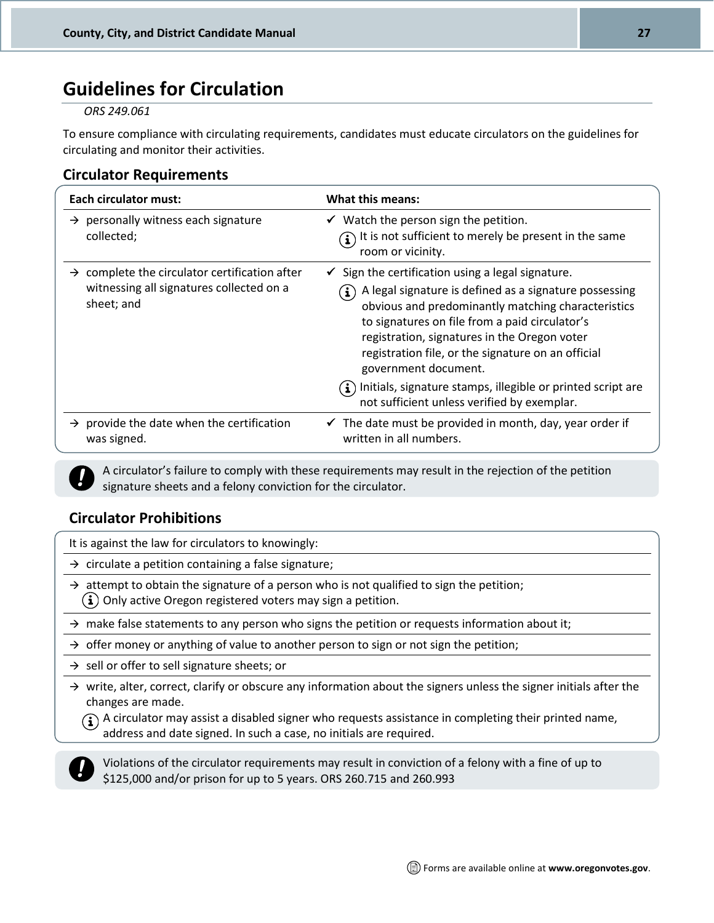### <span id="page-26-0"></span>**Guidelines for Circulation**

#### *ORS 249.061*

To ensure compliance with circulating requirements, candidates must educate circulators on the guidelines for circulating and monitor their activities.

#### **Circulator Requirements**

| <b>Each circulator must:</b>                                                                                        | What this means:                                                                                                                                                                                                                                                                                                                                                                                                                                                                                                       |
|---------------------------------------------------------------------------------------------------------------------|------------------------------------------------------------------------------------------------------------------------------------------------------------------------------------------------------------------------------------------------------------------------------------------------------------------------------------------------------------------------------------------------------------------------------------------------------------------------------------------------------------------------|
| $\rightarrow$ personally witness each signature<br>collected;                                                       | $\checkmark$ Watch the person sign the petition.<br>It is not sufficient to merely be present in the same<br>room or vicinity.                                                                                                                                                                                                                                                                                                                                                                                         |
| $\rightarrow$ complete the circulator certification after<br>witnessing all signatures collected on a<br>sheet; and | $\checkmark$ Sign the certification using a legal signature.<br>A legal signature is defined as a signature possessing<br>$\mathbf{i}$ )<br>obvious and predominantly matching characteristics<br>to signatures on file from a paid circulator's<br>registration, signatures in the Oregon voter<br>registration file, or the signature on an official<br>government document.<br>$\left(\mathbf{i}\right)$ Initials, signature stamps, illegible or printed script are<br>not sufficient unless verified by exemplar. |
| $\rightarrow$ provide the date when the certification<br>was signed.                                                | $\checkmark$ The date must be provided in month, day, year order if<br>written in all numbers.                                                                                                                                                                                                                                                                                                                                                                                                                         |

A circulator's failure to comply with these requirements may result in the rejection of the petition signature sheets and a felony conviction for the circulator.

#### **Circulator Prohibitions**

It is against the law for circulators to knowingly:

 $\rightarrow$  circulate a petition containing a false signature;

- $\rightarrow$  attempt to obtain the signature of a person who is not qualified to sign the petition;  $(i)$  Only active Oregon registered voters may sign a petition.
- $\rightarrow$  make false statements to any person who signs the petition or requests information about it;
- $\rightarrow$  offer money or anything of value to another person to sign or not sign the petition;
- $\rightarrow$  sell or offer to sell signature sheets; or
- $\rightarrow$  write, alter, correct, clarify or obscure any information about the signers unless the signer initials after the changes are made.

 $\widehat{A}$ ) A circulator may assist a disabled signer who requests assistance in completing their printed name, address and date signed. In such a case, no initials are required.



Violations of the circulator requirements may result in conviction of a felony with a fine of up to \$125,000 and/or prison for up to 5 years. ORS 260.715 and 260.993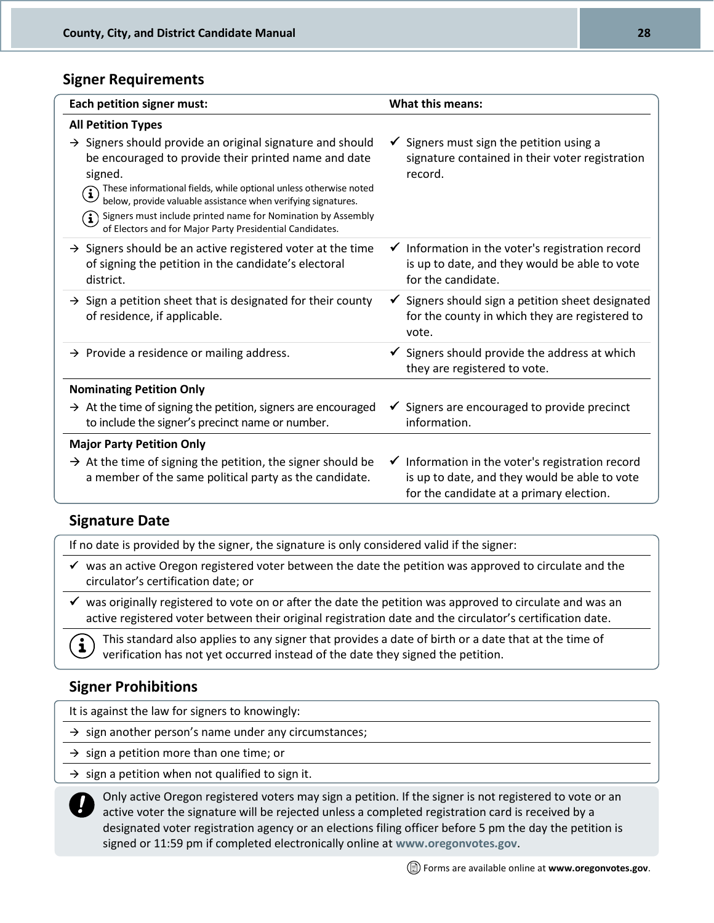#### **Signer Requirements**

| Each petition signer must:                                                                                                                                                                                                                                                                                                                                                                                              | <b>What this means:</b>                                                                                                                                  |
|-------------------------------------------------------------------------------------------------------------------------------------------------------------------------------------------------------------------------------------------------------------------------------------------------------------------------------------------------------------------------------------------------------------------------|----------------------------------------------------------------------------------------------------------------------------------------------------------|
| <b>All Petition Types</b>                                                                                                                                                                                                                                                                                                                                                                                               |                                                                                                                                                          |
| $\rightarrow$ Signers should provide an original signature and should<br>be encouraged to provide their printed name and date<br>signed.<br>These informational fields, while optional unless otherwise noted<br>below, provide valuable assistance when verifying signatures.<br>Signers must include printed name for Nomination by Assembly<br>$\bf (i)$<br>of Electors and for Major Party Presidential Candidates. | $\checkmark$ Signers must sign the petition using a<br>signature contained in their voter registration<br>record.                                        |
| $\rightarrow$ Signers should be an active registered voter at the time<br>of signing the petition in the candidate's electoral<br>district.                                                                                                                                                                                                                                                                             | $\checkmark$ Information in the voter's registration record<br>is up to date, and they would be able to vote<br>for the candidate.                       |
| $\rightarrow$ Sign a petition sheet that is designated for their county<br>of residence, if applicable.                                                                                                                                                                                                                                                                                                                 | $\checkmark$ Signers should sign a petition sheet designated<br>for the county in which they are registered to<br>vote.                                  |
| $\rightarrow$ Provide a residence or mailing address.                                                                                                                                                                                                                                                                                                                                                                   | $\checkmark$ Signers should provide the address at which<br>they are registered to vote.                                                                 |
| <b>Nominating Petition Only</b>                                                                                                                                                                                                                                                                                                                                                                                         |                                                                                                                                                          |
| $\rightarrow$ At the time of signing the petition, signers are encouraged<br>to include the signer's precinct name or number.                                                                                                                                                                                                                                                                                           | Signers are encouraged to provide precinct<br>$\checkmark$<br>information.                                                                               |
| <b>Major Party Petition Only</b>                                                                                                                                                                                                                                                                                                                                                                                        |                                                                                                                                                          |
| $\rightarrow$ At the time of signing the petition, the signer should be<br>a member of the same political party as the candidate.                                                                                                                                                                                                                                                                                       | $\checkmark$ Information in the voter's registration record<br>is up to date, and they would be able to vote<br>for the candidate at a primary election. |

#### **Signature Date**

If no date is provided by the signer, the signature is only considered valid if the signer:

- $\checkmark$  was an active Oregon registered voter between the date the petition was approved to circulate and the circulator's certification date; or
- ✓ was originally registered to vote on or after the date the petition was approved to circulate and was an active registered voter between their original registration date and the circulator's certification date.

This standard also applies to any signer that provides a date of birth or a date that at the time of verification has not yet occurred instead of the date they signed the petition.

#### **Signer Prohibitions**

It is against the law for signers to knowingly:

 $\rightarrow$  sign another person's name under any circumstances;

 $\rightarrow$  sign a petition more than one time; or

 $\rightarrow$  sign a petition when not qualified to sign it.



 $\mathbf{i}$ 

Only active Oregon registered voters may sign a petition. If the signer is not registered to vote or an active voter the signature will be rejected unless a completed registration card is received by a designated voter registration agency or an elections filing officer before 5 pm the day the petition is signed or 11:59 pm if completed electronically online at **[www.oregonvotes.gov](http://www.oregonvotes.gov/)**.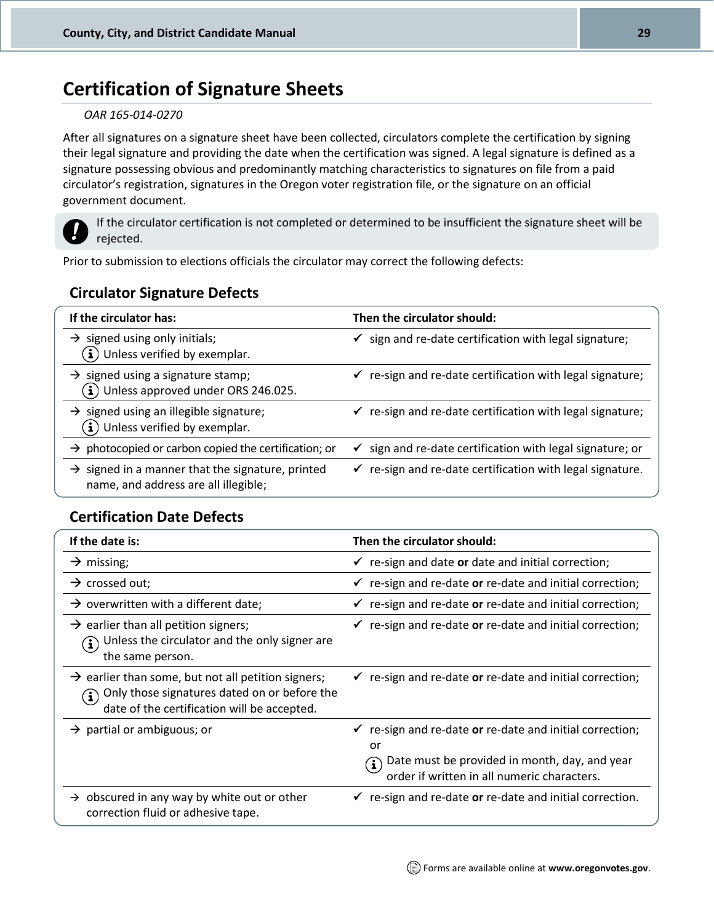### **Certification of Signature Sheets**

#### *OAR 165-014-0270*

After all signatures on a signature sheet have been collected, circulators complete the certification by signing their legal signature and providing the date when the certification was signed. A legal signature is defined as a signature possessing obvious and predominantly matching characteristics to signatures on file from a paid circulator's registration, signatures in the Oregon voter registration file, or the signature on an official government document.



If the circulator certification is not completed or determined to be insufficient the signature sheet will be rejected.

Prior to submission to elections officials the circulator may correct the following defects:

#### **Circulator Signature Defects**

| If the circulator has:                                                                               | Then the circulator should:                                          |
|------------------------------------------------------------------------------------------------------|----------------------------------------------------------------------|
| $\rightarrow$ signed using only initials;<br>$(i)$ Unless verified by exemplar.                      | $\checkmark$ sign and re-date certification with legal signature;    |
| $\rightarrow$ signed using a signature stamp;<br>$(i)$ Unless approved under ORS 246.025.            | $\checkmark$ re-sign and re-date certification with legal signature; |
| $\rightarrow$ signed using an illegible signature;<br>$(i)$ Unless verified by exemplar.             | $\checkmark$ re-sign and re-date certification with legal signature; |
| photocopied or carbon copied the certification; or<br>$\rightarrow$                                  | $\checkmark$ sign and re-date certification with legal signature; or |
| $\rightarrow$ signed in a manner that the signature, printed<br>name, and address are all illegible; | $\checkmark$ re-sign and re-date certification with legal signature. |

#### **Certification Date Defects**

| If the date is:                                                                                                                                                               | Then the circulator should:                                                                                                                                             |
|-------------------------------------------------------------------------------------------------------------------------------------------------------------------------------|-------------------------------------------------------------------------------------------------------------------------------------------------------------------------|
| $\rightarrow$ missing;                                                                                                                                                        | re-sign and date or date and initial correction;                                                                                                                        |
| $\rightarrow$ crossed out;                                                                                                                                                    | $\checkmark$ re-sign and re-date or re-date and initial correction;                                                                                                     |
| $\rightarrow$ overwritten with a different date;                                                                                                                              | re-sign and re-date or re-date and initial correction;<br>$\checkmark$                                                                                                  |
| $\rightarrow$ earlier than all petition signers;<br>Unless the circulator and the only signer are<br>the same person.                                                         | re-sign and re-date or re-date and initial correction;                                                                                                                  |
| $\rightarrow$ earlier than some, but not all petition signers;<br>Only those signatures dated on or before the<br>$\mathbf{u}$<br>date of the certification will be accepted. | $\checkmark$ re-sign and re-date or re-date and initial correction;                                                                                                     |
| $\rightarrow$ partial or ambiguous; or                                                                                                                                        | re-sign and re-date or re-date and initial correction;<br>or<br>Date must be provided in month, day, and year<br>[.<br>1<br>order if written in all numeric characters. |
| obscured in any way by white out or other<br>$\rightarrow$<br>correction fluid or adhesive tape.                                                                              | $\checkmark$ re-sign and re-date or re-date and initial correction.                                                                                                     |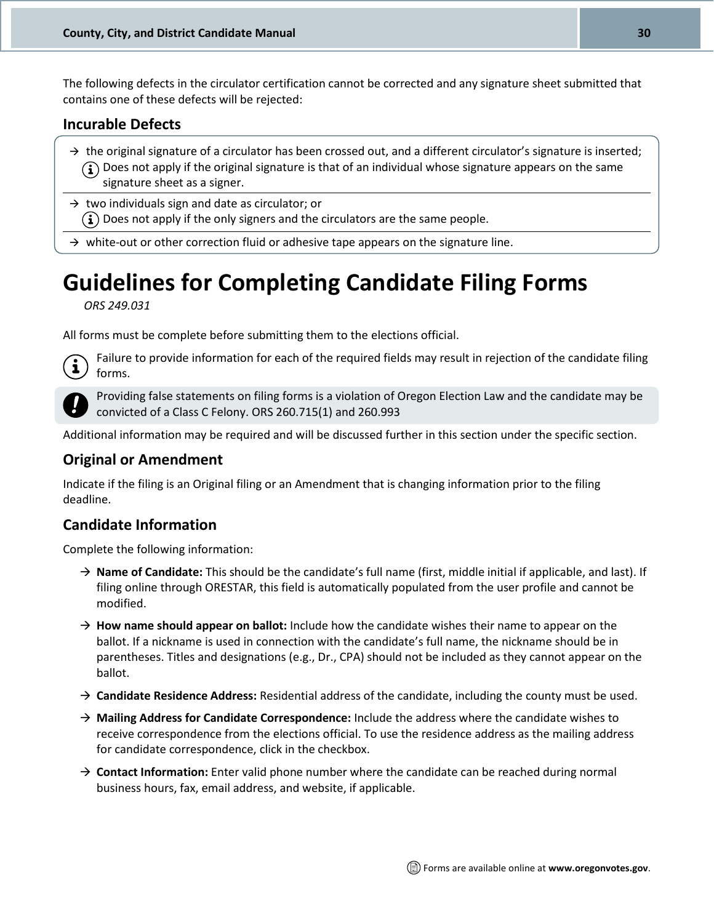The following defects in the circulator certification cannot be corrected and any signature sheet submitted that contains one of these defects will be rejected:

#### **Incurable Defects**

- $\rightarrow$  the original signature of a circulator has been crossed out, and a different circulator's signature is inserted;  $\binom{1}{1}$  Does not apply if the original signature is that of an individual whose signature appears on the same signature sheet as a signer.
- $\rightarrow$  two individuals sign and date as circulator; or  $(i)$  Does not apply if the only signers and the circulators are the same people.

 $\rightarrow$  white-out or other correction fluid or adhesive tape appears on the signature line.

## <span id="page-29-0"></span>**Guidelines for Completing Candidate Filing Forms**

*ORS 249.031*

All forms must be complete before submitting them to the elections official.

 $\mathbf{i}$ 

Failure to provide information for each of the required fields may result in rejection of the candidate filing forms.

Providing false statements on filing forms is a violation of Oregon Election Law and the candidate may be convicted of a Class C Felony. ORS 260.715(1) and 260.993

Additional information may be required and will be discussed further in this section under the specific section.

#### **Original or Amendment**

Indicate if the filing is an Original filing or an Amendment that is changing information prior to the filing deadline.

#### **Candidate Information**

Complete the following information:

- → **Name of Candidate:** This should be the candidate's full name (first, middle initial if applicable, and last). If filing online through ORESTAR, this field is automatically populated from the user profile and cannot be modified.
- $\rightarrow$  **How name should appear on ballot:** Include how the candidate wishes their name to appear on the ballot. If a nickname is used in connection with the candidate's full name, the nickname should be in parentheses. Titles and designations (e.g., Dr., CPA) should not be included as they cannot appear on the ballot.
- → **Candidate Residence Address:** Residential address of the candidate, including the county must be used.
- → **Mailing Address for Candidate Correspondence:** Include the address where the candidate wishes to receive correspondence from the elections official. To use the residence address as the mailing address for candidate correspondence, click in the checkbox.
- → **Contact Information:** Enter valid phone number where the candidate can be reached during normal business hours, fax, email address, and website, if applicable.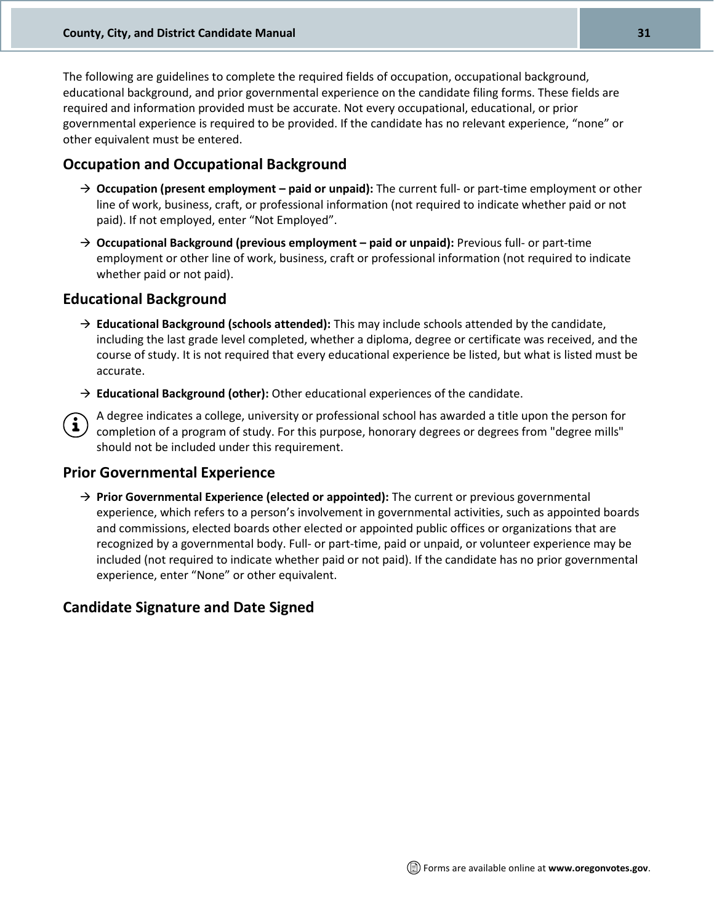The following are guidelines to complete the required fields of occupation, occupational background, educational background, and prior governmental experience on the candidate filing forms. These fields are required and information provided must be accurate. Not every occupational, educational, or prior governmental experience is required to be provided. If the candidate has no relevant experience, "none" or other equivalent must be entered.

#### **Occupation and Occupational Background**

- → **Occupation (present employment – paid or unpaid):** The current full- or part-time employment or other line of work, business, craft, or professional information (not required to indicate whether paid or not paid). If not employed, enter "Not Employed".
- → **Occupational Background (previous employment – paid or unpaid):** Previous full- or part-time employment or other line of work, business, craft or professional information (not required to indicate whether paid or not paid).

#### **Educational Background**

- → **Educational Background (schools attended):** This may include schools attended by the candidate, including the last grade level completed, whether a diploma, degree or certificate was received, and the course of study. It is not required that every educational experience be listed, but what is listed must be accurate.
- → **Educational Background (other):** Other educational experiences of the candidate.
- A degree indicates a college, university or professional school has awarded a title upon the person for completion of a program of study. For this purpose, honorary degrees or degrees from "degree mills" should not be included under this requirement.

#### **Prior Governmental Experience**

→ **Prior Governmental Experience (elected or appointed):** The current or previous governmental experience, which refers to a person's involvement in governmental activities, such as appointed boards and commissions, elected boards other elected or appointed public offices or organizations that are recognized by a governmental body. Full- or part-time, paid or unpaid, or volunteer experience may be included (not required to indicate whether paid or not paid). If the candidate has no prior governmental experience, enter "None" or other equivalent.

#### **Candidate Signature and Date Signed**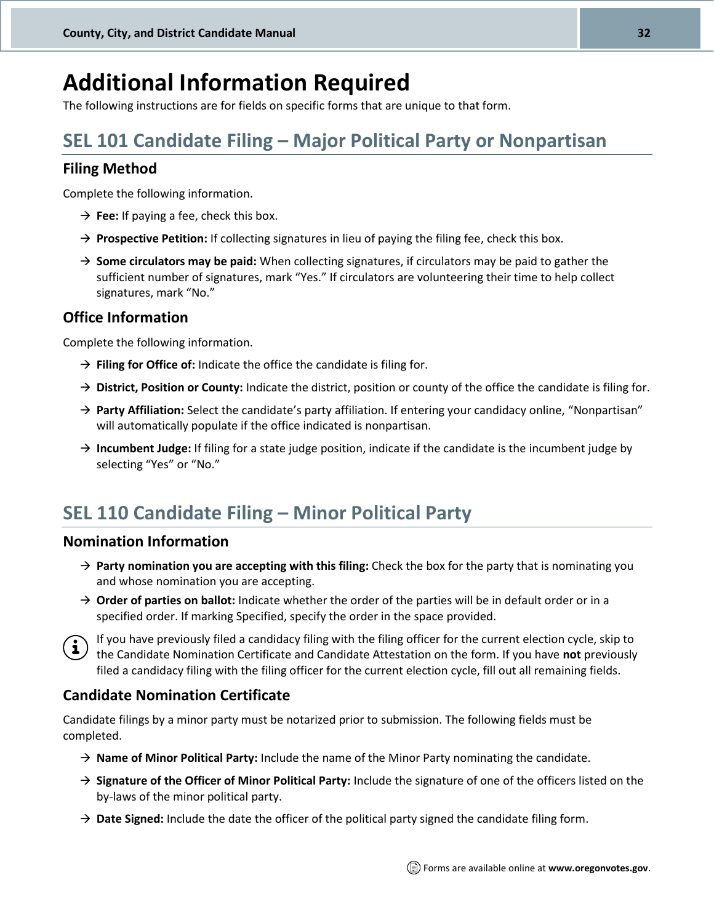## <span id="page-31-0"></span>**Additional Information Required**

The following instructions are for fields on specific forms that are unique to that form.

### **SEL 101 Candidate Filing – [Major Political Party or Nonpartisan](http://sos.oregon.gov/elections/Documents/SEL101.pdf)**

#### **Filing Method**

Complete the following information.

- $\rightarrow$  **Fee:** If paying a fee, check this box.
- → **Prospective Petition:** If collecting signatures in lieu of paying the filing fee, check this box.
- → **Some circulators may be paid:** When collecting signatures, if circulators may be paid to gather the sufficient number of signatures, mark "Yes." If circulators are volunteering their time to help collect signatures, mark "No."

#### **Office Information**

Complete the following information.

- → **Filing for Office of:** Indicate the office the candidate is filing for.
- $\rightarrow$  **District, Position or County:** Indicate the district, position or county of the office the candidate is filing for.
- → **Party Affiliation:** Select the candidate's party affiliation. If entering your candidacy online, "Nonpartisan" will automatically populate if the office indicated is nonpartisan.
- → **Incumbent Judge:** If filing for a state judge position, indicate if the candidate is the incumbent judge by selecting "Yes" or "No."

### **[SEL 110 Candidate Filing](http://sos.oregon.gov/elections/Documents/SEL110.pdf) – Minor Political Party**

#### **Nomination Information**

- → **Party nomination you are accepting with this filing:** Check the box for the party that is nominating you and whose nomination you are accepting.
- → **Order of parties on ballot:** Indicate whether the order of the parties will be in default order or in a specified order. If marking Specified, specify the order in the space provided.



If you have previously filed a candidacy filing with the filing officer for the current election cycle, skip to the Candidate Nomination Certificate and Candidate Attestation on the form. If you have **not** previously the Candidate Nomination Certificate and Candidate Attestation on the form. If you have **not** previously filed a candidacy filing with the filing officer for the current election cycle, fill out all remaining fields.

#### **Candidate Nomination Certificate**

Candidate filings by a minor party must be notarized prior to submission. The following fields must be completed.

- → **Name of Minor Political Party:** Include the name of the Minor Party nominating the candidate.
- → **Signature of the Officer of Minor Political Party:** Include the signature of one of the officers listed on the by-laws of the minor political party.
- → **Date Signed:** Include the date the officer of the political party signed the candidate filing form.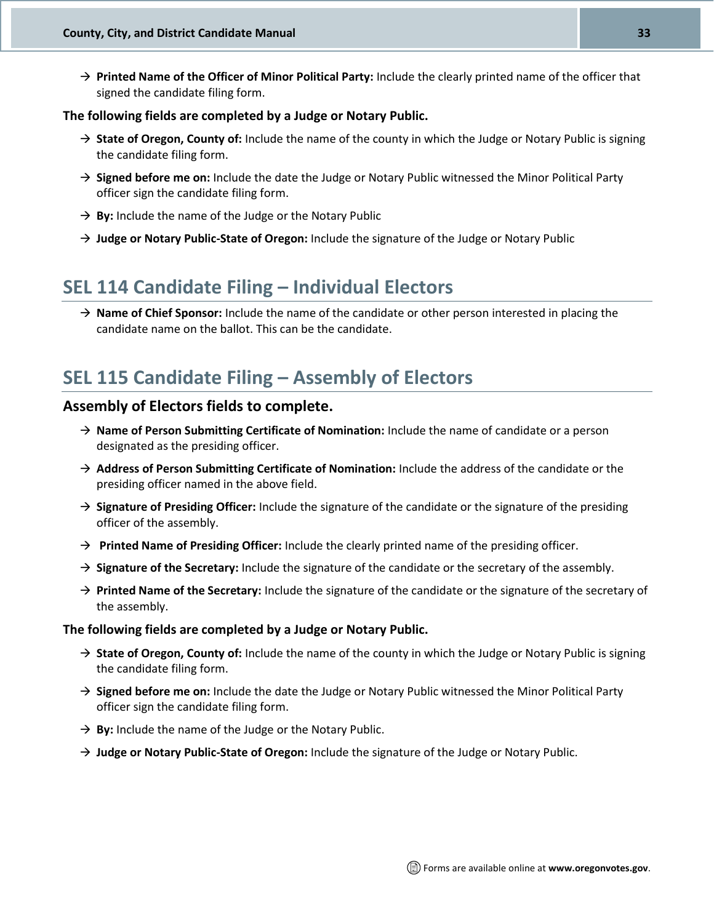→ **Printed Name of the Officer of Minor Political Party:** Include the clearly printed name of the officer that signed the candidate filing form.

#### **The following fields are completed by a Judge or Notary Public.**

- → **State of Oregon, County of:** Include the name of the county in which the Judge or Notary Public is signing the candidate filing form.
- → **Signed before me on:** Include the date the Judge or Notary Public witnessed the Minor Political Party officer sign the candidate filing form.
- → **By:** Include the name of the Judge or the Notary Public
- → **Judge or Notary Public-State of Oregon:** Include the signature of the Judge or Notary Public

### **[SEL 114 Candidate Filing](http://sos.oregon.gov/elections/Documents/SEL114.pdf) – Individual Electors**

→ **Name of Chief Sponsor:** Include the name of the candidate or other person interested in placing the candidate name on the ballot. This can be the candidate.

### **[SEL 115 Candidate Filing](http://sos.oregon.gov/elections/Documents/SEL115.pdf) – Assembly of Electors**

#### **Assembly of Electors fields to complete.**

- → **Name of Person Submitting Certificate of Nomination:** Include the name of candidate or a person designated as the presiding officer.
- → **Address of Person Submitting Certificate of Nomination:** Include the address of the candidate or the presiding officer named in the above field.
- → **Signature of Presiding Officer:** Include the signature of the candidate or the signature of the presiding officer of the assembly.
- → **Printed Name of Presiding Officer:** Include the clearly printed name of the presiding officer.
- → **Signature of the Secretary:** Include the signature of the candidate or the secretary of the assembly.
- → **Printed Name of the Secretary:** Include the signature of the candidate or the signature of the secretary of the assembly.

#### **The following fields are completed by a Judge or Notary Public.**

- → **State of Oregon, County of:** Include the name of the county in which the Judge or Notary Public is signing the candidate filing form.
- → **Signed before me on:** Include the date the Judge or Notary Public witnessed the Minor Political Party officer sign the candidate filing form.
- $\rightarrow$  By: Include the name of the Judge or the Notary Public.
- → **Judge or Notary Public-State of Oregon:** Include the signature of the Judge or Notary Public.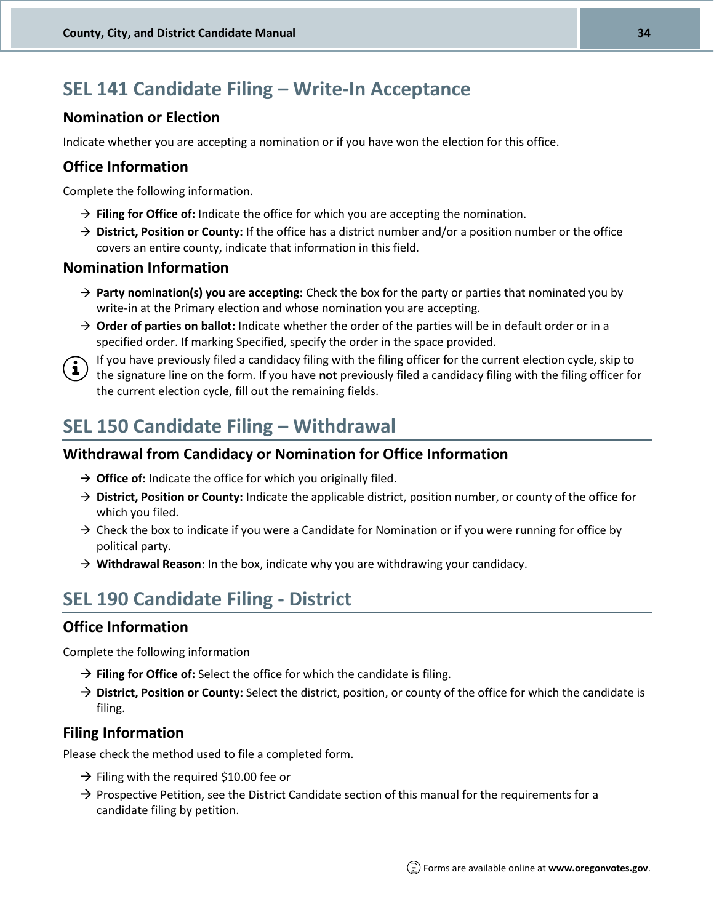### **[SEL 141 Candidate Filing](http://sos.oregon.gov/elections/Documents/SEL141.pdf) – Write-In Acceptance**

#### **Nomination or Election**

Indicate whether you are accepting a nomination or if you have won the election for this office.

#### **Office Information**

Complete the following information.

- → **Filing for Office of:** Indicate the office for which you are accepting the nomination.
- → **District, Position or County:** If the office has a district number and/or a position number or the office covers an entire county, indicate that information in this field.

#### **Nomination Information**

- → **Party nomination(s) you are accepting:** Check the box for the party or parties that nominated you by write-in at the Primary election and whose nomination you are accepting.
- → **Order of parties on ballot:** Indicate whether the order of the parties will be in default order or in a specified order. If marking Specified, specify the order in the space provided.



If you have previously filed a candidacy filing with the filing officer for the current election cycle, skip to the signature line on the form. If you have **not** previously filed a candidacy filing with the filing officer for the current election cycle, fill out the remaining fields.

### **[SEL 150 Candidate Filing](http://sos.oregon.gov/elections/Documents/SEL150.pdf) – Withdrawal**

#### **Withdrawal from Candidacy or Nomination for Office Information**

- → **Office of:** Indicate the office for which you originally filed.
- → **District, Position or County:** Indicate the applicable district, position number, or county of the office for which you filed.
- $\rightarrow$  Check the box to indicate if you were a Candidate for Nomination or if you were running for office by political party.
- → **Withdrawal Reason**: In the box, indicate why you are withdrawing your candidacy.

### <span id="page-33-0"></span>**[SEL 190 Candidate Filing -](http://sos.oregon.gov/elections/Documents/SEL190.pdf) District**

#### **Office Information**

Complete the following information

- → **Filing for Office of:** Select the office for which the candidate is filing.
- → **District, Position or County:** Select the district, position, or county of the office for which the candidate is filing.

#### **Filing Information**

Please check the method used to file a completed form.

- $\rightarrow$  Filing with the required \$10.00 fee or
- $\rightarrow$  Prospective Petition, see the District Candidate section of this manual for the requirements for a candidate filing by petition.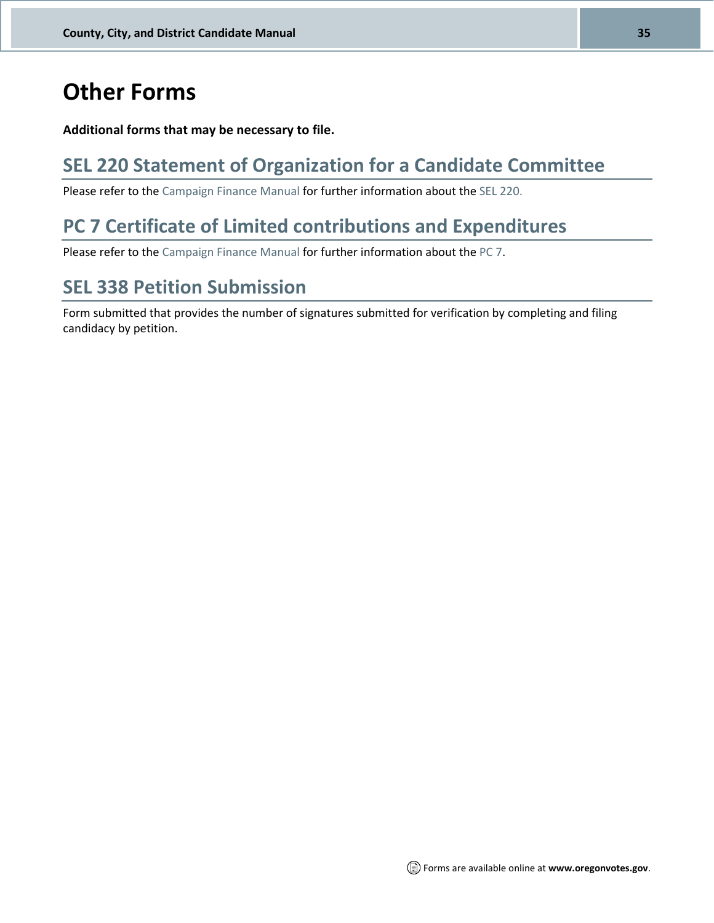## **Other Forms**

#### **Additional forms that may be necessary to file.**

### <span id="page-34-0"></span>**[SEL 220 Statement of Organization for a Candidate Committee](http://sos.oregon.gov/elections/Documents/SEL220.pdf)**

Please refer to the [Campaign Finance Manual](http://sos.oregon.gov/elections/Documents/campaign-finance.pdf) for further information about the [SEL 220.](http://sos.oregon.gov/elections/Documents/SEL220.pdf)

### <span id="page-34-1"></span>**[PC 7 Certificate of Limited contributions and Expenditures](https://sos.oregon.gov/elections/Documents/PC7.pdf)**

Please refer to the [Campaign Finance Manual](http://sos.oregon.gov/elections/Documents/campaign-finance.pdf) for further information about the [PC 7.](https://sos.oregon.gov/elections/Documents/PC7.pdf)

### **[SEL 338 Petition Submission](http://sos.oregon.gov/elections/Documents/SEL338.pdf)**

Form submitted that provides the number of signatures submitted for verification by completing and filing candidacy by petition.